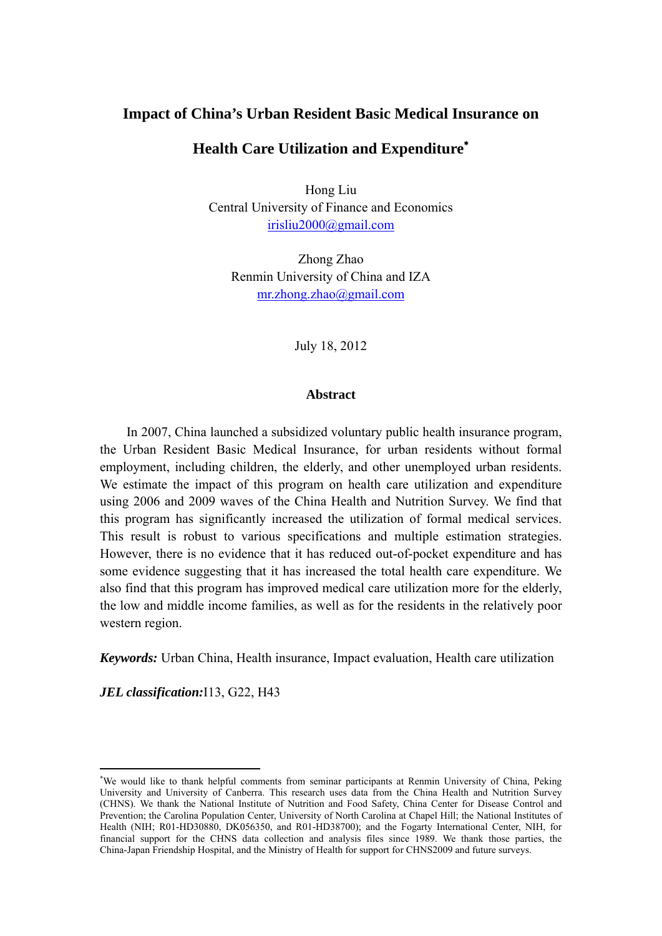# **Impact of China's Urban Resident Basic Medical Insurance on**

# **Health Care Utilization and Expenditure<sup>∗</sup>**

Hong Liu Central University of Finance and Economics irisliu2000@gmail.com

Zhong Zhao Renmin University of China and IZA mr.zhong.zhao@gmail.com

July 18, 2012

## **Abstract**

In 2007, China launched a subsidized voluntary public health insurance program, the Urban Resident Basic Medical Insurance, for urban residents without formal employment, including children, the elderly, and other unemployed urban residents. We estimate the impact of this program on health care utilization and expenditure using 2006 and 2009 waves of the China Health and Nutrition Survey. We find that this program has significantly increased the utilization of formal medical services. This result is robust to various specifications and multiple estimation strategies. However, there is no evidence that it has reduced out-of-pocket expenditure and has some evidence suggesting that it has increased the total health care expenditure. We also find that this program has improved medical care utilization more for the elderly, the low and middle income families, as well as for the residents in the relatively poor western region.

*Keywords:* Urban China, Health insurance, Impact evaluation, Health care utilization

*JEL classification:*I13, G22, H43

<sup>∗</sup> We would like to thank helpful comments from seminar participants at Renmin University of China, Peking University and University of Canberra. This research uses data from the China Health and Nutrition Survey (CHNS). We thank the National Institute of Nutrition and Food Safety, China Center for Disease Control and Prevention; the Carolina Population Center, University of North Carolina at Chapel Hill; the National Institutes of Health (NIH; R01-HD30880, DK056350, and R01-HD38700); and the Fogarty International Center, NIH, for financial support for the CHNS data collection and analysis files since 1989. We thank those parties, the China-Japan Friendship Hospital, and the Ministry of Health for support for CHNS2009 and future surveys.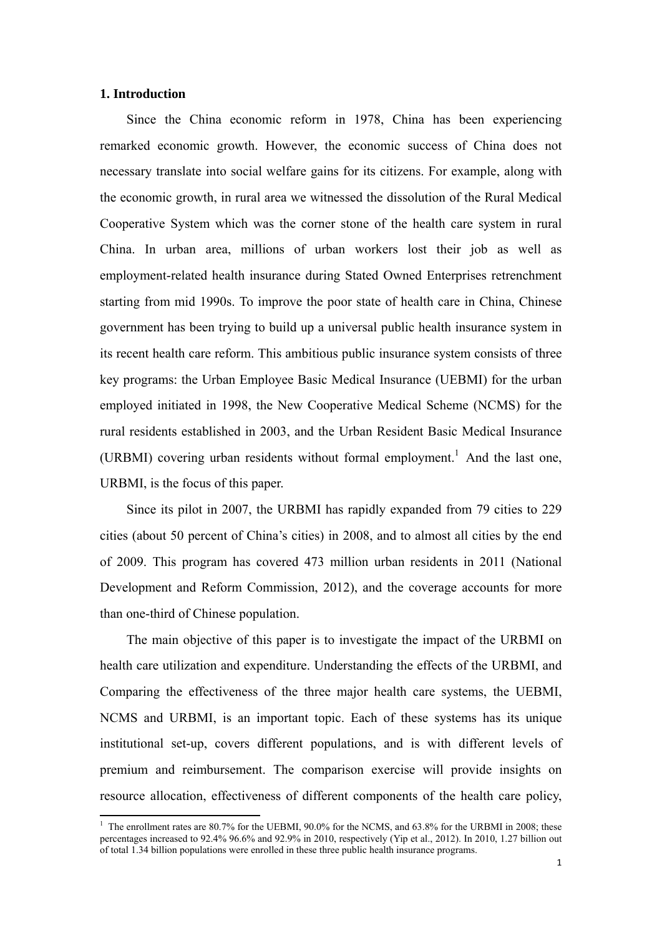## **1. Introduction**

Since the China economic reform in 1978, China has been experiencing remarked economic growth. However, the economic success of China does not necessary translate into social welfare gains for its citizens. For example, along with the economic growth, in rural area we witnessed the dissolution of the Rural Medical Cooperative System which was the corner stone of the health care system in rural China. In urban area, millions of urban workers lost their job as well as employment-related health insurance during Stated Owned Enterprises retrenchment starting from mid 1990s. To improve the poor state of health care in China, Chinese government has been trying to build up a universal public health insurance system in its recent health care reform. This ambitious public insurance system consists of three key programs: the Urban Employee Basic Medical Insurance (UEBMI) for the urban employed initiated in 1998, the New Cooperative Medical Scheme (NCMS) for the rural residents established in 2003, and the Urban Resident Basic Medical Insurance (URBMI) covering urban residents without formal employment.<sup>1</sup> And the last one, URBMI, is the focus of this paper.

Since its pilot in 2007, the URBMI has rapidly expanded from 79 cities to 229 cities (about 50 percent of China's cities) in 2008, and to almost all cities by the end of 2009. This program has covered 473 million urban residents in 2011 (National Development and Reform Commission, 2012), and the coverage accounts for more than one-third of Chinese population.

The main objective of this paper is to investigate the impact of the URBMI on health care utilization and expenditure. Understanding the effects of the URBMI, and Comparing the effectiveness of the three major health care systems, the UEBMI, NCMS and URBMI, is an important topic. Each of these systems has its unique institutional set-up, covers different populations, and is with different levels of premium and reimbursement. The comparison exercise will provide insights on resource allocation, effectiveness of different components of the health care policy,

<sup>&</sup>lt;sup>1</sup> The enrollment rates are 80.7% for the UEBMI, 90.0% for the NCMS, and 63.8% for the URBMI in 2008; these percentages increased to 92.4% 96.6% and 92.9% in 2010, respectively (Yip et al., 2012). In 2010, 1.27 billion out of total 1.34 billion populations were enrolled in these three public health insurance programs.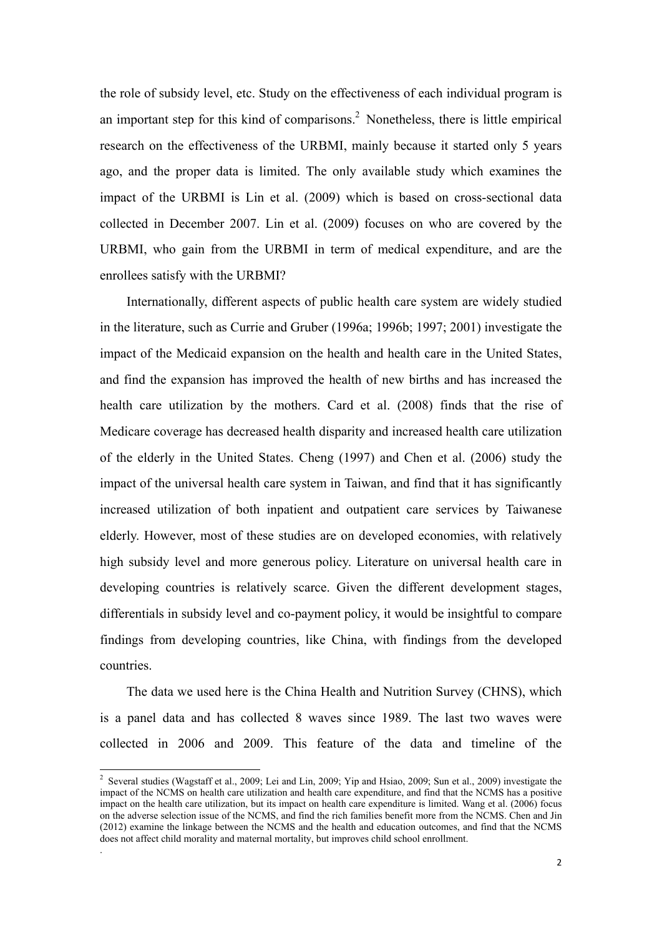the role of subsidy level, etc. Study on the effectiveness of each individual program is an important step for this kind of comparisons.<sup>2</sup> Nonetheless, there is little empirical research on the effectiveness of the URBMI, mainly because it started only 5 years ago, and the proper data is limited. The only available study which examines the impact of the URBMI is Lin et al. (2009) which is based on cross-sectional data collected in December 2007. Lin et al. (2009) focuses on who are covered by the URBMI, who gain from the URBMI in term of medical expenditure, and are the enrollees satisfy with the URBMI?

Internationally, different aspects of public health care system are widely studied in the literature, such as Currie and Gruber (1996a; 1996b; 1997; 2001) investigate the impact of the Medicaid expansion on the health and health care in the United States, and find the expansion has improved the health of new births and has increased the health care utilization by the mothers. Card et al. (2008) finds that the rise of Medicare coverage has decreased health disparity and increased health care utilization of the elderly in the United States. Cheng (1997) and Chen et al. (2006) study the impact of the universal health care system in Taiwan, and find that it has significantly increased utilization of both inpatient and outpatient care services by Taiwanese elderly. However, most of these studies are on developed economies, with relatively high subsidy level and more generous policy. Literature on universal health care in developing countries is relatively scarce. Given the different development stages, differentials in subsidy level and co-payment policy, it would be insightful to compare findings from developing countries, like China, with findings from the developed countries.

The data we used here is the China Health and Nutrition Survey (CHNS), which is a panel data and has collected 8 waves since 1989. The last two waves were collected in 2006 and 2009. This feature of the data and timeline of the

.

<sup>&</sup>lt;sup>2</sup> Several studies (Wagstaff et al., 2009; Lei and Lin, 2009; Yip and Hsiao, 2009; Sun et al., 2009) investigate the impact of the NCMS on health care utilization and health care expenditure, and find that the NCMS has a positive impact on the health care utilization, but its impact on health care expenditure is limited. Wang et al. (2006) focus on the adverse selection issue of the NCMS, and find the rich families benefit more from the NCMS. Chen and Jin (2012) examine the linkage between the NCMS and the health and education outcomes, and find that the NCMS does not affect child morality and maternal mortality, but improves child school enrollment.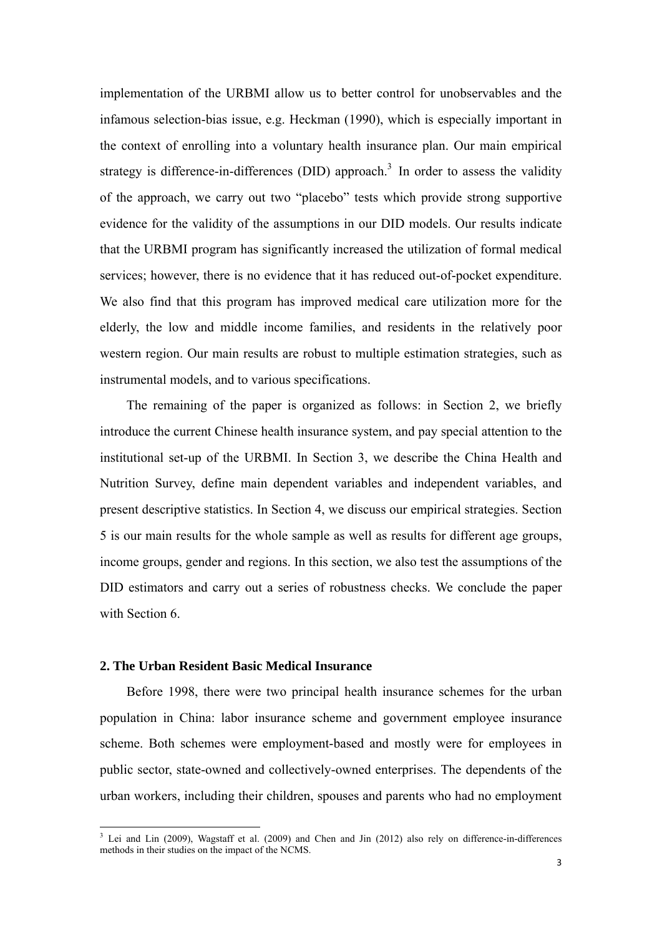implementation of the URBMI allow us to better control for unobservables and the infamous selection-bias issue, e.g. Heckman (1990), which is especially important in the context of enrolling into a voluntary health insurance plan. Our main empirical strategy is difference-in-differences (DID) approach.<sup>3</sup> In order to assess the validity of the approach, we carry out two "placebo" tests which provide strong supportive evidence for the validity of the assumptions in our DID models. Our results indicate that the URBMI program has significantly increased the utilization of formal medical services; however, there is no evidence that it has reduced out-of-pocket expenditure. We also find that this program has improved medical care utilization more for the elderly, the low and middle income families, and residents in the relatively poor western region. Our main results are robust to multiple estimation strategies, such as instrumental models, and to various specifications.

The remaining of the paper is organized as follows: in Section 2, we briefly introduce the current Chinese health insurance system, and pay special attention to the institutional set-up of the URBMI. In Section 3, we describe the China Health and Nutrition Survey, define main dependent variables and independent variables, and present descriptive statistics. In Section 4, we discuss our empirical strategies. Section 5 is our main results for the whole sample as well as results for different age groups, income groups, gender and regions. In this section, we also test the assumptions of the DID estimators and carry out a series of robustness checks. We conclude the paper with Section 6.

## **2. The Urban Resident Basic Medical Insurance**

Before 1998, there were two principal health insurance schemes for the urban population in China: labor insurance scheme and government employee insurance scheme. Both schemes were employment-based and mostly were for employees in public sector, state-owned and collectively-owned enterprises. The dependents of the urban workers, including their children, spouses and parents who had no employment

<sup>&</sup>lt;sup>3</sup> Lei and Lin (2009), Wagstaff et al. (2009) and Chen and Jin (2012) also rely on difference-in-differences methods in their studies on the impact of the NCMS.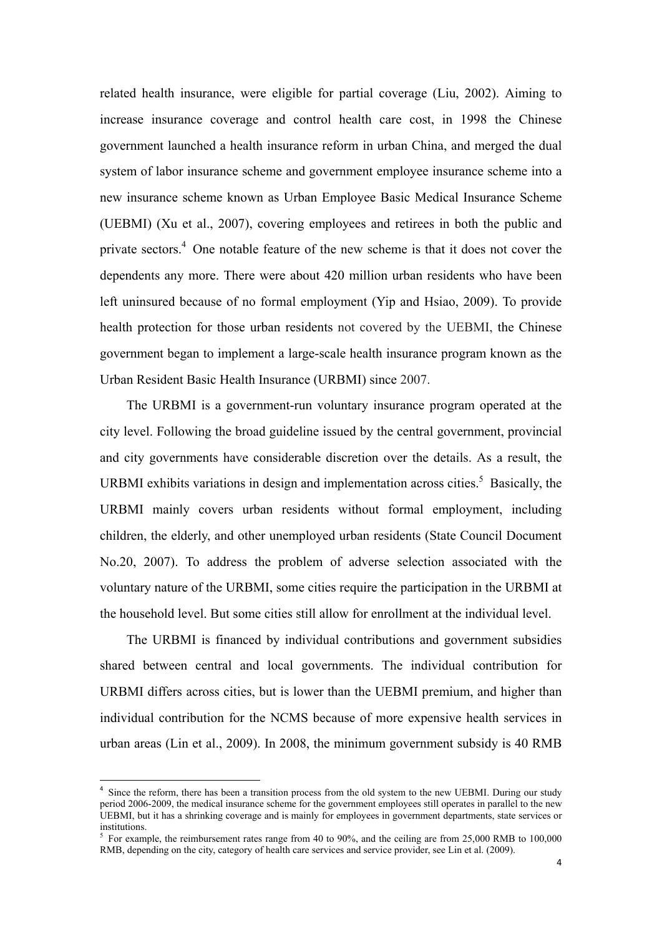related health insurance, were eligible for partial coverage (Liu, 2002). Aiming to increase insurance coverage and control health care cost, in 1998 the Chinese government launched a health insurance reform in urban China, and merged the dual system of labor insurance scheme and government employee insurance scheme into a new insurance scheme known as Urban Employee Basic Medical Insurance Scheme (UEBMI) (Xu et al., 2007), covering employees and retirees in both the public and private sectors.<sup>4</sup> One notable feature of the new scheme is that it does not cover the dependents any more. There were about 420 million urban residents who have been left uninsured because of no formal employment (Yip and Hsiao, 2009). To provide health protection for those urban residents not covered by the UEBMI, the Chinese government began to implement a large-scale health insurance program known as the Urban Resident Basic Health Insurance (URBMI) since 2007.

The URBMI is a government-run voluntary insurance program operated at the city level. Following the broad guideline issued by the central government, provincial and city governments have considerable discretion over the details. As a result, the URBMI exhibits variations in design and implementation across cities.<sup>5</sup> Basically, the URBMI mainly covers urban residents without formal employment, including children, the elderly, and other unemployed urban residents (State Council Document No.20, 2007). To address the problem of adverse selection associated with the voluntary nature of the URBMI, some cities require the participation in the URBMI at the household level. But some cities still allow for enrollment at the individual level.

The URBMI is financed by individual contributions and government subsidies shared between central and local governments. The individual contribution for URBMI differs across cities, but is lower than the UEBMI premium, and higher than individual contribution for the NCMS because of more expensive health services in urban areas (Lin et al., 2009). In 2008, the minimum government subsidy is 40 RMB

<sup>&</sup>lt;sup>4</sup> Since the reform, there has been a transition process from the old system to the new UEBMI. During our study period 2006-2009, the medical insurance scheme for the government employees still operates in parallel to the new UEBMI, but it has a shrinking coverage and is mainly for employees in government departments, state services or institutions.

<sup>&</sup>lt;sup>5</sup> For example, the reimbursement rates range from 40 to 90%, and the ceiling are from 25,000 RMB to 100,000 RMB, depending on the city, category of health care services and service provider, see Lin et al. (2009).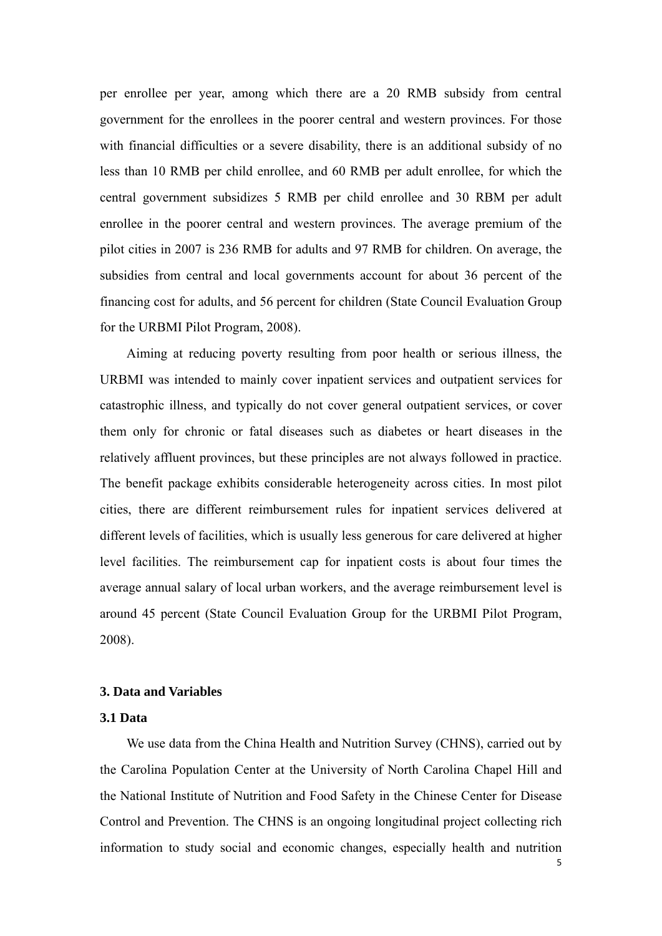per enrollee per year, among which there are a 20 RMB subsidy from central government for the enrollees in the poorer central and western provinces. For those with financial difficulties or a severe disability, there is an additional subsidy of no less than 10 RMB per child enrollee, and 60 RMB per adult enrollee, for which the central government subsidizes 5 RMB per child enrollee and 30 RBM per adult enrollee in the poorer central and western provinces. The average premium of the pilot cities in 2007 is 236 RMB for adults and 97 RMB for children. On average, the subsidies from central and local governments account for about 36 percent of the financing cost for adults, and 56 percent for children (State Council Evaluation Group for the URBMI Pilot Program, 2008).

Aiming at reducing poverty resulting from poor health or serious illness, the URBMI was intended to mainly cover inpatient services and outpatient services for catastrophic illness, and typically do not cover general outpatient services, or cover them only for chronic or fatal diseases such as diabetes or heart diseases in the relatively affluent provinces, but these principles are not always followed in practice. The benefit package exhibits considerable heterogeneity across cities. In most pilot cities, there are different reimbursement rules for inpatient services delivered at different levels of facilities, which is usually less generous for care delivered at higher level facilities. The reimbursement cap for inpatient costs is about four times the average annual salary of local urban workers, and the average reimbursement level is around 45 percent (State Council Evaluation Group for the URBMI Pilot Program, 2008).

## **3. Data and Variables**

## **3.1 Data**

We use data from the China Health and Nutrition Survey (CHNS), carried out by the Carolina Population Center at the University of North Carolina Chapel Hill and the National Institute of Nutrition and Food Safety in the Chinese Center for Disease Control and Prevention. The CHNS is an ongoing longitudinal project collecting rich information to study social and economic changes, especially health and nutrition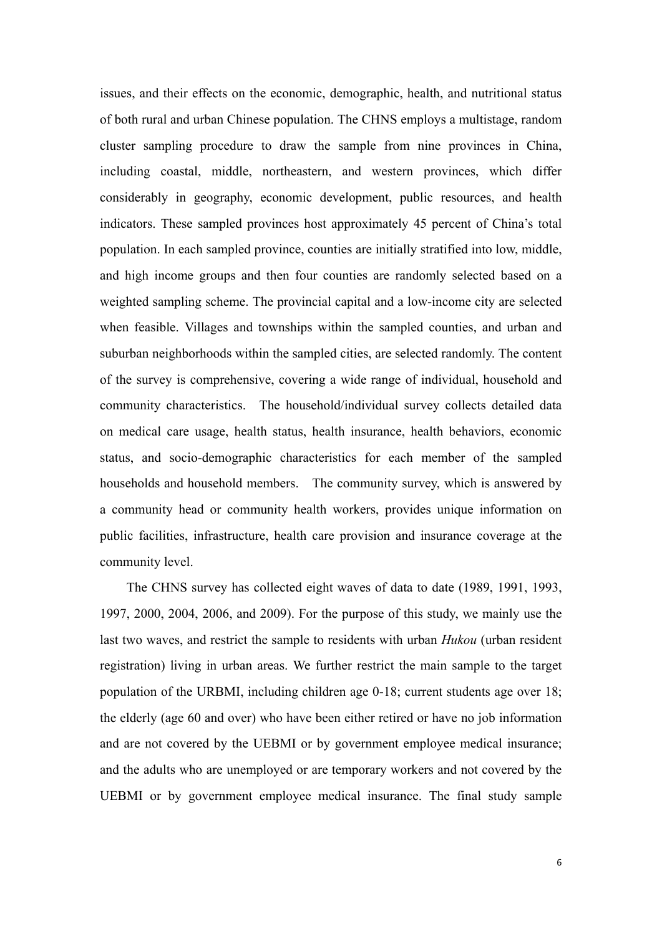issues, and their effects on the economic, demographic, health, and nutritional status of both rural and urban Chinese population. The CHNS employs a multistage, random cluster sampling procedure to draw the sample from nine provinces in China, including coastal, middle, northeastern, and western provinces, which differ considerably in geography, economic development, public resources, and health indicators. These sampled provinces host approximately 45 percent of China's total population. In each sampled province, counties are initially stratified into low, middle, and high income groups and then four counties are randomly selected based on a weighted sampling scheme. The provincial capital and a low-income city are selected when feasible. Villages and townships within the sampled counties, and urban and suburban neighborhoods within the sampled cities, are selected randomly. The content of the survey is comprehensive, covering a wide range of individual, household and community characteristics. The household/individual survey collects detailed data on medical care usage, health status, health insurance, health behaviors, economic status, and socio-demographic characteristics for each member of the sampled households and household members. The community survey, which is answered by a community head or community health workers, provides unique information on public facilities, infrastructure, health care provision and insurance coverage at the community level.

The CHNS survey has collected eight waves of data to date (1989, 1991, 1993, 1997, 2000, 2004, 2006, and 2009). For the purpose of this study, we mainly use the last two waves, and restrict the sample to residents with urban *Hukou* (urban resident registration) living in urban areas. We further restrict the main sample to the target population of the URBMI, including children age 0-18; current students age over 18; the elderly (age 60 and over) who have been either retired or have no job information and are not covered by the UEBMI or by government employee medical insurance; and the adults who are unemployed or are temporary workers and not covered by the UEBMI or by government employee medical insurance. The final study sample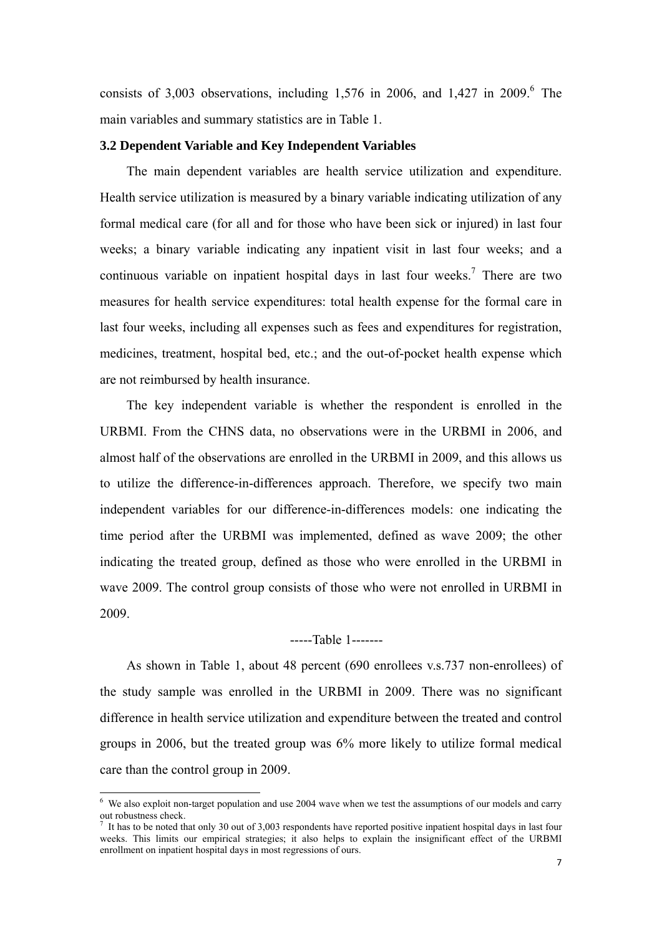consists of 3,003 observations, including 1,576 in 2006, and 1,427 in 2009.<sup>6</sup> The main variables and summary statistics are in Table 1.

#### **3.2 Dependent Variable and Key Independent Variables**

The main dependent variables are health service utilization and expenditure. Health service utilization is measured by a binary variable indicating utilization of any formal medical care (for all and for those who have been sick or injured) in last four weeks; a binary variable indicating any inpatient visit in last four weeks; and a continuous variable on inpatient hospital days in last four weeks.<sup>7</sup> There are two measures for health service expenditures: total health expense for the formal care in last four weeks, including all expenses such as fees and expenditures for registration, medicines, treatment, hospital bed, etc.; and the out-of-pocket health expense which are not reimbursed by health insurance.

The key independent variable is whether the respondent is enrolled in the URBMI. From the CHNS data, no observations were in the URBMI in 2006, and almost half of the observations are enrolled in the URBMI in 2009, and this allows us to utilize the difference-in-differences approach. Therefore, we specify two main independent variables for our difference-in-differences models: one indicating the time period after the URBMI was implemented, defined as wave 2009; the other indicating the treated group, defined as those who were enrolled in the URBMI in wave 2009. The control group consists of those who were not enrolled in URBMI in 2009.

## -----Table 1-------

As shown in Table 1, about 48 percent (690 enrollees v.s.737 non-enrollees) of the study sample was enrolled in the URBMI in 2009. There was no significant difference in health service utilization and expenditure between the treated and control groups in 2006, but the treated group was 6% more likely to utilize formal medical care than the control group in 2009.

 6 We also exploit non-target population and use 2004 wave when we test the assumptions of our models and carry out robustness check.

 $<sup>7</sup>$  It has to be noted that only 30 out of 3,003 respondents have reported positive inpatient hospital days in last four</sup> weeks. This limits our empirical strategies; it also helps to explain the insignificant effect of the URBMI enrollment on inpatient hospital days in most regressions of ours.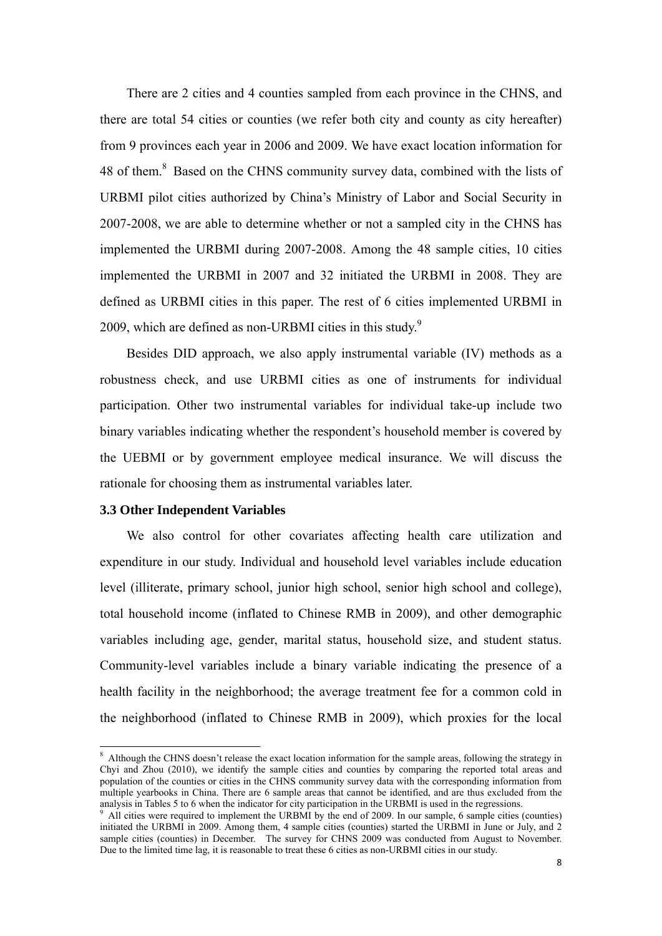There are 2 cities and 4 counties sampled from each province in the CHNS, and there are total 54 cities or counties (we refer both city and county as city hereafter) from 9 provinces each year in 2006 and 2009. We have exact location information for 48 of them.<sup>8</sup> Based on the CHNS community survey data, combined with the lists of URBMI pilot cities authorized by China's Ministry of Labor and Social Security in 2007-2008, we are able to determine whether or not a sampled city in the CHNS has implemented the URBMI during 2007-2008. Among the 48 sample cities, 10 cities implemented the URBMI in 2007 and 32 initiated the URBMI in 2008. They are defined as URBMI cities in this paper. The rest of 6 cities implemented URBMI in 2009, which are defined as non-URBMI cities in this study. $9$ 

Besides DID approach, we also apply instrumental variable (IV) methods as a robustness check, and use URBMI cities as one of instruments for individual participation. Other two instrumental variables for individual take-up include two binary variables indicating whether the respondent's household member is covered by the UEBMI or by government employee medical insurance. We will discuss the rationale for choosing them as instrumental variables later.

## **3.3 Other Independent Variables**

We also control for other covariates affecting health care utilization and expenditure in our study. Individual and household level variables include education level (illiterate, primary school, junior high school, senior high school and college), total household income (inflated to Chinese RMB in 2009), and other demographic variables including age, gender, marital status, household size, and student status. Community-level variables include a binary variable indicating the presence of a health facility in the neighborhood; the average treatment fee for a common cold in the neighborhood (inflated to Chinese RMB in 2009), which proxies for the local

<sup>&</sup>lt;sup>8</sup> Although the CHNS doesn't release the exact location information for the sample areas, following the strategy in Chyi and Zhou (2010), we identify the sample cities and counties by comparing the reported total areas and population of the counties or cities in the CHNS community survey data with the corresponding information from multiple yearbooks in China. There are 6 sample areas that cannot be identified, and are thus excluded from the analysis in Tables 5 to 6 when the indicator for city participation in the URBMI is used in the regressions. 9

All cities were required to implement the URBMI by the end of 2009. In our sample, 6 sample cities (counties) initiated the URBMI in 2009. Among them, 4 sample cities (counties) started the URBMI in June or July, and 2 sample cities (counties) in December. The survey for CHNS 2009 was conducted from August to November. Due to the limited time lag, it is reasonable to treat these 6 cities as non-URBMI cities in our study.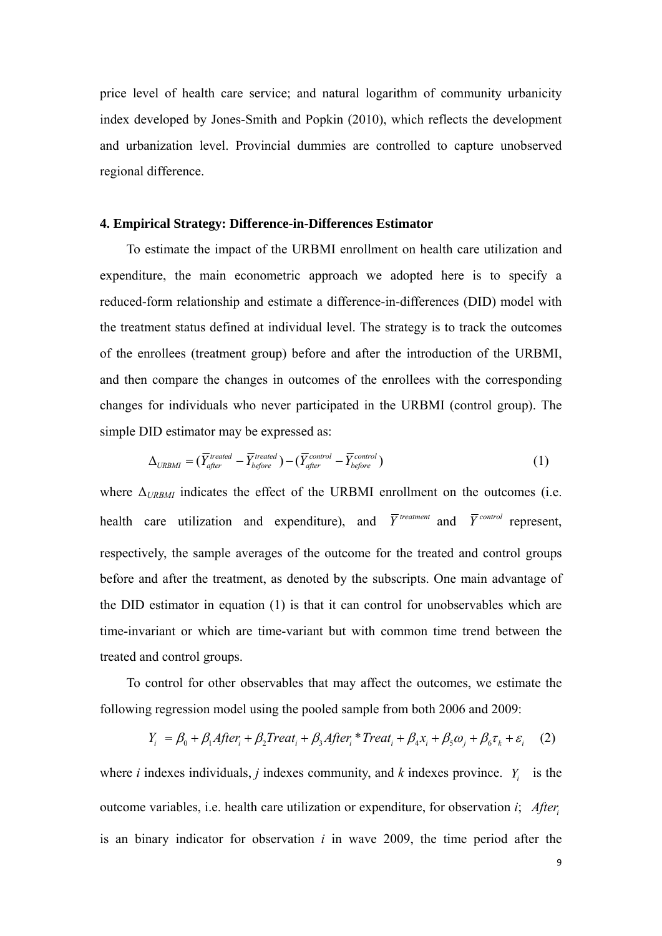price level of health care service; and natural logarithm of community urbanicity index developed by Jones-Smith and Popkin (2010), which reflects the development and urbanization level. Provincial dummies are controlled to capture unobserved regional difference.

## **4. Empirical Strategy: Difference-in-Differences Estimator**

To estimate the impact of the URBMI enrollment on health care utilization and expenditure, the main econometric approach we adopted here is to specify a reduced-form relationship and estimate a difference-in-differences (DID) model with the treatment status defined at individual level. The strategy is to track the outcomes of the enrollees (treatment group) before and after the introduction of the URBMI, and then compare the changes in outcomes of the enrollees with the corresponding changes for individuals who never participated in the URBMI (control group). The simple DID estimator may be expressed as:

$$
\Delta_{URBM} = (\overline{Y}_{after}^{treated} - \overline{Y}_{before}^{treated}) - (\overline{Y}_{after}^{control} - \overline{Y}_{before}^{control})
$$
\n(1)

where  $\Delta_{URBM}$  indicates the effect of the URBMI enrollment on the outcomes (i.e. health care utilization and expenditure), and  $\overline{Y}^{treatment}$  and  $\overline{Y}^{control}$  represent, respectively, the sample averages of the outcome for the treated and control groups before and after the treatment, as denoted by the subscripts. One main advantage of the DID estimator in equation (1) is that it can control for unobservables which are time-invariant or which are time-variant but with common time trend between the treated and control groups.

To control for other observables that may affect the outcomes, we estimate the following regression model using the pooled sample from both 2006 and 2009:

$$
Y_i = \beta_0 + \beta_1 After_i + \beta_2 Treat_i + \beta_3 After_i * Treat_i + \beta_4 x_i + \beta_5 \omega_j + \beta_6 \tau_k + \varepsilon_i
$$
 (2)

where *i* indexes individuals, *j* indexes community, and *k* indexes province. *Y<sub>i</sub>* is the outcome variables, i.e. health care utilization or expenditure, for observation *i*; *Afteri* is an binary indicator for observation *i* in wave 2009, the time period after the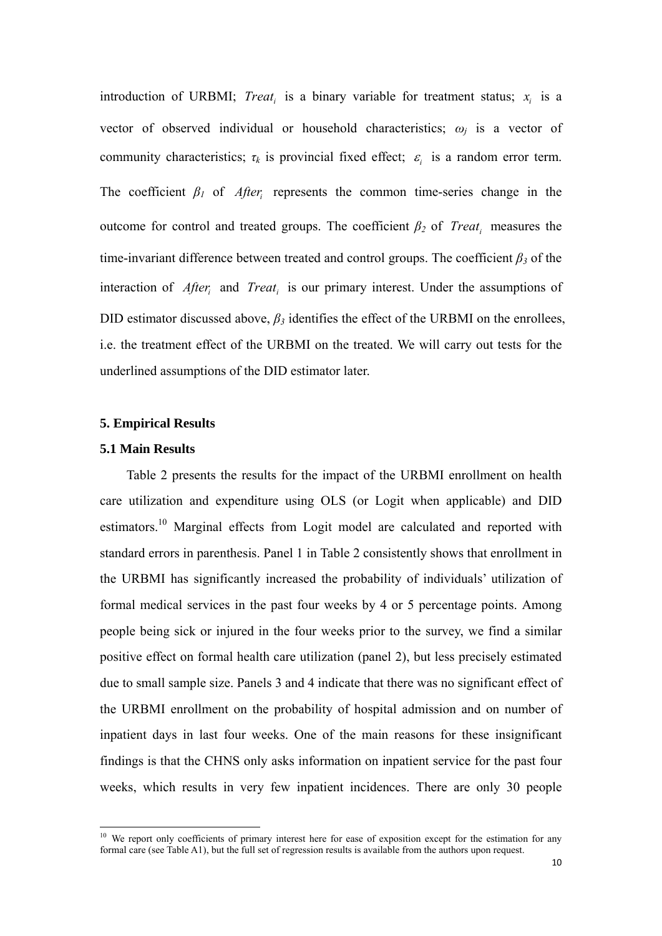introduction of URBMI; *Treat<sub>i</sub>* is a binary variable for treatment status;  $x_i$  is a vector of observed individual or household characteristics; *ωj* is a vector of community characteristics;  $\tau_k$  is provincial fixed effect;  $\varepsilon_i$  is a random error term. The coefficient  $\beta$ <sup>*l*</sup> of *After<sub>i</sub>* represents the common time-series change in the outcome for control and treated groups. The coefficient  $\beta_2$  of *Treat<sub>i</sub>* measures the time-invariant difference between treated and control groups. The coefficient  $\beta_3$  of the interaction of *After<sub>i</sub>* and *Treat<sub>i</sub>* is our primary interest. Under the assumptions of DID estimator discussed above,  $\beta_3$  identifies the effect of the URBMI on the enrollees, i.e. the treatment effect of the URBMI on the treated. We will carry out tests for the underlined assumptions of the DID estimator later.

## **5. Empirical Results**

### **5.1 Main Results**

Table 2 presents the results for the impact of the URBMI enrollment on health care utilization and expenditure using OLS (or Logit when applicable) and DID estimators.<sup>10</sup> Marginal effects from Logit model are calculated and reported with standard errors in parenthesis. Panel 1 in Table 2 consistently shows that enrollment in the URBMI has significantly increased the probability of individuals' utilization of formal medical services in the past four weeks by 4 or 5 percentage points. Among people being sick or injured in the four weeks prior to the survey, we find a similar positive effect on formal health care utilization (panel 2), but less precisely estimated due to small sample size. Panels 3 and 4 indicate that there was no significant effect of the URBMI enrollment on the probability of hospital admission and on number of inpatient days in last four weeks. One of the main reasons for these insignificant findings is that the CHNS only asks information on inpatient service for the past four weeks, which results in very few inpatient incidences. There are only 30 people

<sup>&</sup>lt;sup>10</sup> We report only coefficients of primary interest here for ease of exposition except for the estimation for any formal care (see Table A1), but the full set of regression results is available from the authors upon request.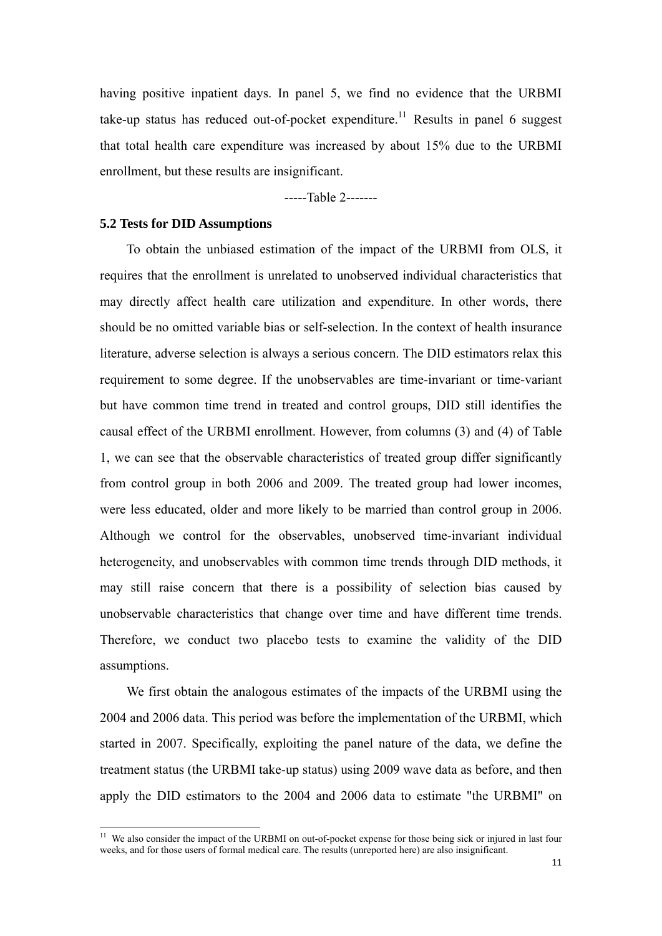having positive inpatient days. In panel 5, we find no evidence that the URBMI take-up status has reduced out-of-pocket expenditure.<sup>11</sup> Results in panel 6 suggest that total health care expenditure was increased by about 15% due to the URBMI enrollment, but these results are insignificant.

-----Table 2-------

## **5.2 Tests for DID Assumptions**

To obtain the unbiased estimation of the impact of the URBMI from OLS, it requires that the enrollment is unrelated to unobserved individual characteristics that may directly affect health care utilization and expenditure. In other words, there should be no omitted variable bias or self-selection. In the context of health insurance literature, adverse selection is always a serious concern. The DID estimators relax this requirement to some degree. If the unobservables are time-invariant or time-variant but have common time trend in treated and control groups, DID still identifies the causal effect of the URBMI enrollment. However, from columns (3) and (4) of Table 1, we can see that the observable characteristics of treated group differ significantly from control group in both 2006 and 2009. The treated group had lower incomes, were less educated, older and more likely to be married than control group in 2006. Although we control for the observables, unobserved time-invariant individual heterogeneity, and unobservables with common time trends through DID methods, it may still raise concern that there is a possibility of selection bias caused by unobservable characteristics that change over time and have different time trends. Therefore, we conduct two placebo tests to examine the validity of the DID assumptions.

We first obtain the analogous estimates of the impacts of the URBMI using the 2004 and 2006 data. This period was before the implementation of the URBMI, which started in 2007. Specifically, exploiting the panel nature of the data, we define the treatment status (the URBMI take-up status) using 2009 wave data as before, and then apply the DID estimators to the 2004 and 2006 data to estimate "the URBMI" on

<sup>&</sup>lt;sup>11</sup> We also consider the impact of the URBMI on out-of-pocket expense for those being sick or injured in last four weeks, and for those users of formal medical care. The results (unreported here) are also insignificant.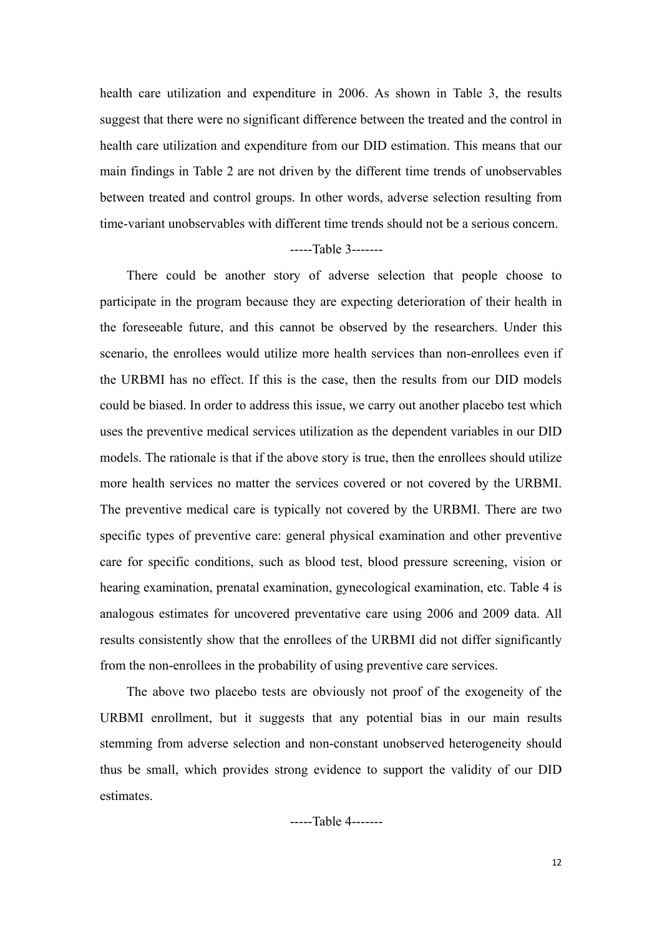health care utilization and expenditure in 2006. As shown in Table 3, the results suggest that there were no significant difference between the treated and the control in health care utilization and expenditure from our DID estimation. This means that our main findings in Table 2 are not driven by the different time trends of unobservables between treated and control groups. In other words, adverse selection resulting from time-variant unobservables with different time trends should not be a serious concern.

## -----Table 3-------

There could be another story of adverse selection that people choose to participate in the program because they are expecting deterioration of their health in the foreseeable future, and this cannot be observed by the researchers. Under this scenario, the enrollees would utilize more health services than non-enrollees even if the URBMI has no effect. If this is the case, then the results from our DID models could be biased. In order to address this issue, we carry out another placebo test which uses the preventive medical services utilization as the dependent variables in our DID models. The rationale is that if the above story is true, then the enrollees should utilize more health services no matter the services covered or not covered by the URBMI. The preventive medical care is typically not covered by the URBMI. There are two specific types of preventive care: general physical examination and other preventive care for specific conditions, such as blood test, blood pressure screening, vision or hearing examination, prenatal examination, gynecological examination, etc. Table 4 is analogous estimates for uncovered preventative care using 2006 and 2009 data. All results consistently show that the enrollees of the URBMI did not differ significantly from the non-enrollees in the probability of using preventive care services.

The above two placebo tests are obviously not proof of the exogeneity of the URBMI enrollment, but it suggests that any potential bias in our main results stemming from adverse selection and non-constant unobserved heterogeneity should thus be small, which provides strong evidence to support the validity of our DID estimates.

-----Table 4-------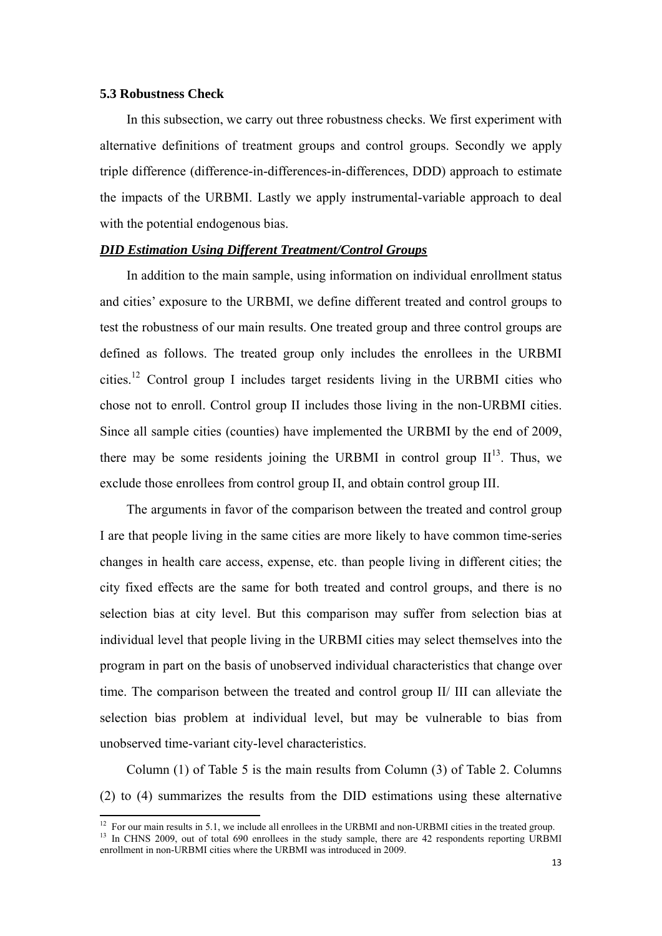## **5.3 Robustness Check**

In this subsection, we carry out three robustness checks. We first experiment with alternative definitions of treatment groups and control groups. Secondly we apply triple difference (difference-in-differences-in-differences, DDD) approach to estimate the impacts of the URBMI. Lastly we apply instrumental-variable approach to deal with the potential endogenous bias.

## *DID Estimation Using Different Treatment/Control Groups*

In addition to the main sample, using information on individual enrollment status and cities' exposure to the URBMI, we define different treated and control groups to test the robustness of our main results. One treated group and three control groups are defined as follows. The treated group only includes the enrollees in the URBMI cities.12 Control group I includes target residents living in the URBMI cities who chose not to enroll. Control group II includes those living in the non-URBMI cities. Since all sample cities (counties) have implemented the URBMI by the end of 2009, there may be some residents joining the URBMI in control group  $II<sup>13</sup>$ . Thus, we exclude those enrollees from control group II, and obtain control group III.

The arguments in favor of the comparison between the treated and control group I are that people living in the same cities are more likely to have common time-series changes in health care access, expense, etc. than people living in different cities; the city fixed effects are the same for both treated and control groups, and there is no selection bias at city level. But this comparison may suffer from selection bias at individual level that people living in the URBMI cities may select themselves into the program in part on the basis of unobserved individual characteristics that change over time. The comparison between the treated and control group II/ III can alleviate the selection bias problem at individual level, but may be vulnerable to bias from unobserved time-variant city-level characteristics.

Column (1) of Table 5 is the main results from Column (3) of Table 2. Columns (2) to (4) summarizes the results from the DID estimations using these alternative

<sup>&</sup>lt;sup>12</sup> For our main results in 5.1, we include all enrollees in the URBMI and non-URBMI cities in the treated group.<br><sup>13</sup> In CHNS 2009, out of total 690 enrollees in the study sample, there are 42 respondents reporting URBM enrollment in non-URBMI cities where the URBMI was introduced in 2009.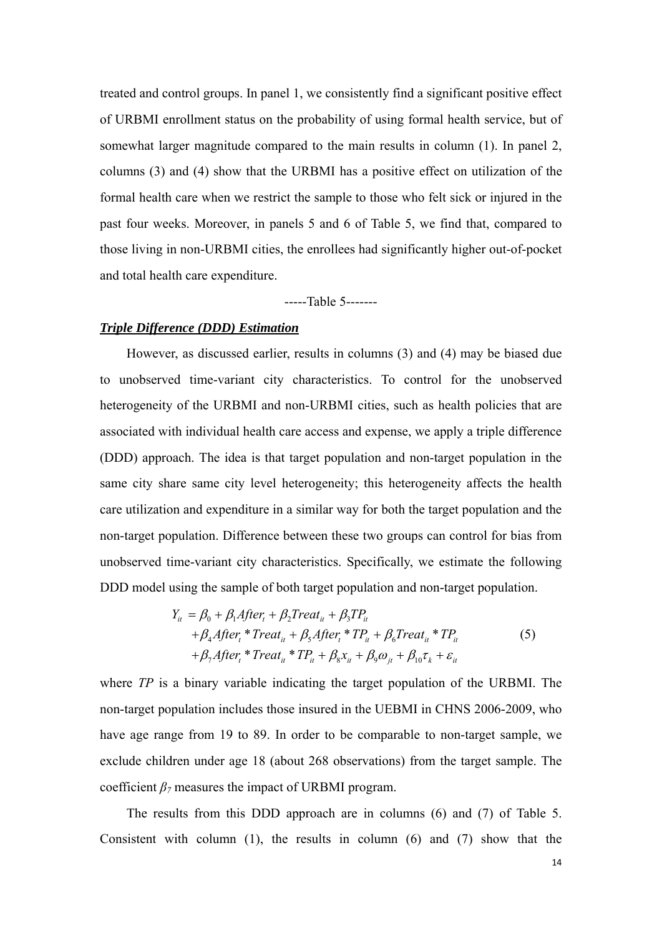treated and control groups. In panel 1, we consistently find a significant positive effect of URBMI enrollment status on the probability of using formal health service, but of somewhat larger magnitude compared to the main results in column (1). In panel 2, columns (3) and (4) show that the URBMI has a positive effect on utilization of the formal health care when we restrict the sample to those who felt sick or injured in the past four weeks. Moreover, in panels 5 and 6 of Table 5, we find that, compared to those living in non-URBMI cities, the enrollees had significantly higher out-of-pocket and total health care expenditure.

-----Table 5-------

### *Triple Difference (DDD) Estimation*

However, as discussed earlier, results in columns (3) and (4) may be biased due to unobserved time-variant city characteristics. To control for the unobserved heterogeneity of the URBMI and non-URBMI cities, such as health policies that are associated with individual health care access and expense, we apply a triple difference (DDD) approach. The idea is that target population and non-target population in the same city share same city level heterogeneity; this heterogeneity affects the health care utilization and expenditure in a similar way for both the target population and the non-target population. Difference between these two groups can control for bias from unobserved time-variant city characteristics. Specifically, we estimate the following DDD model using the sample of both target population and non-target population.

$$
Y_{ii} = \beta_0 + \beta_1 After_t + \beta_2 Treat_{it} + \beta_3 TP_{it}
$$
  
+  $\beta_4 After_t * Treat_{it} + \beta_5 After_t * TP_{it} + \beta_6 Treat_{it} * TP_{it}$   
+  $\beta_7 After_t * Treat_{it} * TP_{it} + \beta_8 x_{it} + \beta_9 \omega_{jt} + \beta_{10} \tau_k + \varepsilon_{it}$  (5)

where *TP* is a binary variable indicating the target population of the URBMI. The non-target population includes those insured in the UEBMI in CHNS 2006-2009, who have age range from 19 to 89. In order to be comparable to non-target sample, we exclude children under age 18 (about 268 observations) from the target sample. The coefficient  $\beta$ <sup>7</sup> measures the impact of URBMI program.

The results from this DDD approach are in columns (6) and (7) of Table 5. Consistent with column (1), the results in column (6) and (7) show that the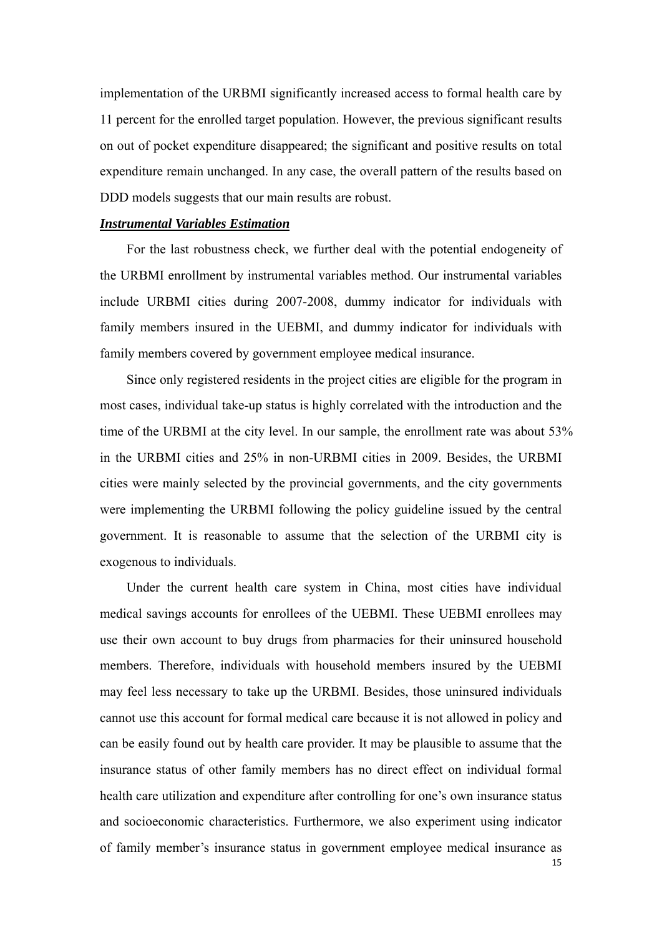implementation of the URBMI significantly increased access to formal health care by 11 percent for the enrolled target population. However, the previous significant results on out of pocket expenditure disappeared; the significant and positive results on total expenditure remain unchanged. In any case, the overall pattern of the results based on DDD models suggests that our main results are robust.

### *Instrumental Variables Estimation*

For the last robustness check, we further deal with the potential endogeneity of the URBMI enrollment by instrumental variables method. Our instrumental variables include URBMI cities during 2007-2008, dummy indicator for individuals with family members insured in the UEBMI, and dummy indicator for individuals with family members covered by government employee medical insurance.

Since only registered residents in the project cities are eligible for the program in most cases, individual take-up status is highly correlated with the introduction and the time of the URBMI at the city level. In our sample, the enrollment rate was about 53% in the URBMI cities and 25% in non-URBMI cities in 2009. Besides, the URBMI cities were mainly selected by the provincial governments, and the city governments were implementing the URBMI following the policy guideline issued by the central government. It is reasonable to assume that the selection of the URBMI city is exogenous to individuals.

Under the current health care system in China, most cities have individual medical savings accounts for enrollees of the UEBMI. These UEBMI enrollees may use their own account to buy drugs from pharmacies for their uninsured household members. Therefore, individuals with household members insured by the UEBMI may feel less necessary to take up the URBMI. Besides, those uninsured individuals cannot use this account for formal medical care because it is not allowed in policy and can be easily found out by health care provider. It may be plausible to assume that the insurance status of other family members has no direct effect on individual formal health care utilization and expenditure after controlling for one's own insurance status and socioeconomic characteristics. Furthermore, we also experiment using indicator of family member's insurance status in government employee medical insurance as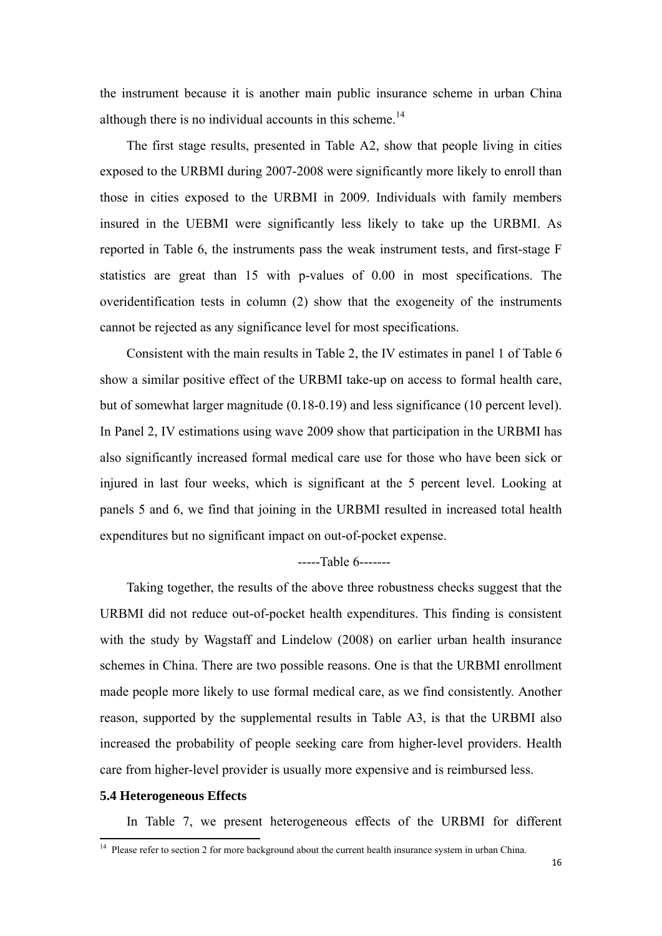the instrument because it is another main public insurance scheme in urban China although there is no individual accounts in this scheme.<sup>14</sup>

The first stage results, presented in Table A2, show that people living in cities exposed to the URBMI during 2007-2008 were significantly more likely to enroll than those in cities exposed to the URBMI in 2009. Individuals with family members insured in the UEBMI were significantly less likely to take up the URBMI. As reported in Table 6, the instruments pass the weak instrument tests, and first-stage F statistics are great than 15 with p-values of 0.00 in most specifications. The overidentification tests in column (2) show that the exogeneity of the instruments cannot be rejected as any significance level for most specifications.

Consistent with the main results in Table 2, the IV estimates in panel 1 of Table 6 show a similar positive effect of the URBMI take-up on access to formal health care, but of somewhat larger magnitude (0.18-0.19) and less significance (10 percent level). In Panel 2, IV estimations using wave 2009 show that participation in the URBMI has also significantly increased formal medical care use for those who have been sick or injured in last four weeks, which is significant at the 5 percent level. Looking at panels 5 and 6, we find that joining in the URBMI resulted in increased total health expenditures but no significant impact on out-of-pocket expense.

### -----Table 6-------

Taking together, the results of the above three robustness checks suggest that the URBMI did not reduce out-of-pocket health expenditures. This finding is consistent with the study by Wagstaff and Lindelow (2008) on earlier urban health insurance schemes in China. There are two possible reasons. One is that the URBMI enrollment made people more likely to use formal medical care, as we find consistently. Another reason, supported by the supplemental results in Table A3, is that the URBMI also increased the probability of people seeking care from higher-level providers. Health care from higher-level provider is usually more expensive and is reimbursed less.

## **5.4 Heterogeneous Effects**

In Table 7, we present heterogeneous effects of the URBMI for different

 $14$  Please refer to section 2 for more background about the current health insurance system in urban China.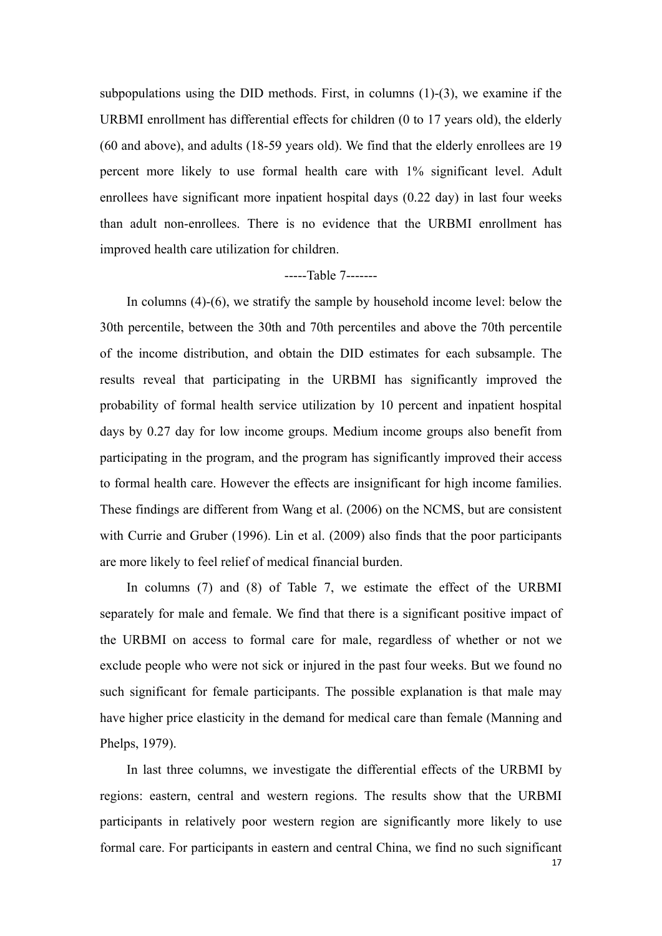subpopulations using the DID methods. First, in columns (1)-(3), we examine if the URBMI enrollment has differential effects for children (0 to 17 years old), the elderly (60 and above), and adults (18-59 years old). We find that the elderly enrollees are 19 percent more likely to use formal health care with 1% significant level. Adult enrollees have significant more inpatient hospital days (0.22 day) in last four weeks than adult non-enrollees. There is no evidence that the URBMI enrollment has improved health care utilization for children.

## -----Table 7-------

In columns (4)-(6), we stratify the sample by household income level: below the 30th percentile, between the 30th and 70th percentiles and above the 70th percentile of the income distribution, and obtain the DID estimates for each subsample. The results reveal that participating in the URBMI has significantly improved the probability of formal health service utilization by 10 percent and inpatient hospital days by 0.27 day for low income groups. Medium income groups also benefit from participating in the program, and the program has significantly improved their access to formal health care. However the effects are insignificant for high income families. These findings are different from Wang et al. (2006) on the NCMS, but are consistent with Currie and Gruber (1996). Lin et al. (2009) also finds that the poor participants are more likely to feel relief of medical financial burden.

In columns (7) and (8) of Table 7, we estimate the effect of the URBMI separately for male and female. We find that there is a significant positive impact of the URBMI on access to formal care for male, regardless of whether or not we exclude people who were not sick or injured in the past four weeks. But we found no such significant for female participants. The possible explanation is that male may have higher price elasticity in the demand for medical care than female (Manning and Phelps, 1979).

In last three columns, we investigate the differential effects of the URBMI by regions: eastern, central and western regions. The results show that the URBMI participants in relatively poor western region are significantly more likely to use formal care. For participants in eastern and central China, we find no such significant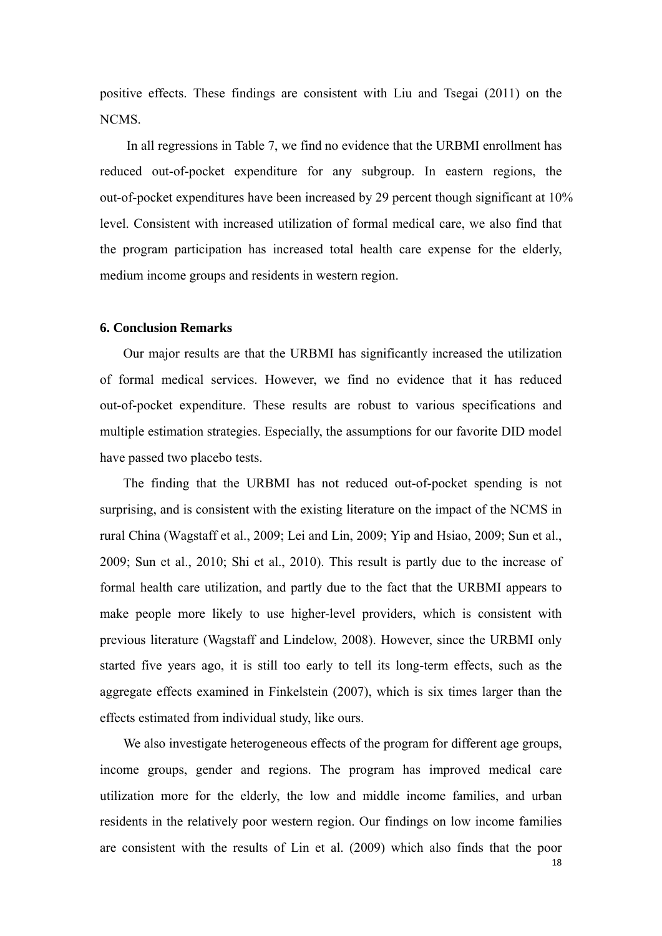positive effects. These findings are consistent with Liu and Tsegai (2011) on the NCMS.

In all regressions in Table 7, we find no evidence that the URBMI enrollment has reduced out-of-pocket expenditure for any subgroup. In eastern regions, the out-of-pocket expenditures have been increased by 29 percent though significant at 10% level. Consistent with increased utilization of formal medical care, we also find that the program participation has increased total health care expense for the elderly, medium income groups and residents in western region.

#### **6. Conclusion Remarks**

Our major results are that the URBMI has significantly increased the utilization of formal medical services. However, we find no evidence that it has reduced out-of-pocket expenditure. These results are robust to various specifications and multiple estimation strategies. Especially, the assumptions for our favorite DID model have passed two placebo tests.

The finding that the URBMI has not reduced out-of-pocket spending is not surprising, and is consistent with the existing literature on the impact of the NCMS in rural China (Wagstaff et al., 2009; Lei and Lin, 2009; Yip and Hsiao, 2009; Sun et al., 2009; Sun et al., 2010; Shi et al., 2010). This result is partly due to the increase of formal health care utilization, and partly due to the fact that the URBMI appears to make people more likely to use higher-level providers, which is consistent with previous literature (Wagstaff and Lindelow, 2008). However, since the URBMI only started five years ago, it is still too early to tell its long-term effects, such as the aggregate effects examined in Finkelstein (2007), which is six times larger than the effects estimated from individual study, like ours.

We also investigate heterogeneous effects of the program for different age groups, income groups, gender and regions. The program has improved medical care utilization more for the elderly, the low and middle income families, and urban residents in the relatively poor western region. Our findings on low income families are consistent with the results of Lin et al. (2009) which also finds that the poor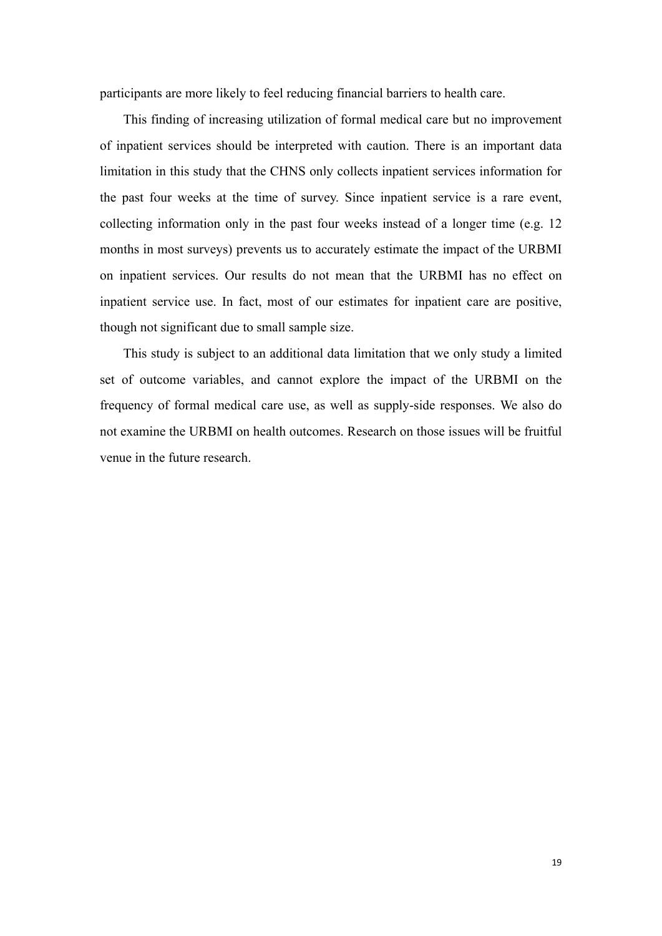participants are more likely to feel reducing financial barriers to health care.

This finding of increasing utilization of formal medical care but no improvement of inpatient services should be interpreted with caution. There is an important data limitation in this study that the CHNS only collects inpatient services information for the past four weeks at the time of survey. Since inpatient service is a rare event, collecting information only in the past four weeks instead of a longer time (e.g. 12 months in most surveys) prevents us to accurately estimate the impact of the URBMI on inpatient services. Our results do not mean that the URBMI has no effect on inpatient service use. In fact, most of our estimates for inpatient care are positive, though not significant due to small sample size.

This study is subject to an additional data limitation that we only study a limited set of outcome variables, and cannot explore the impact of the URBMI on the frequency of formal medical care use, as well as supply-side responses. We also do not examine the URBMI on health outcomes. Research on those issues will be fruitful venue in the future research.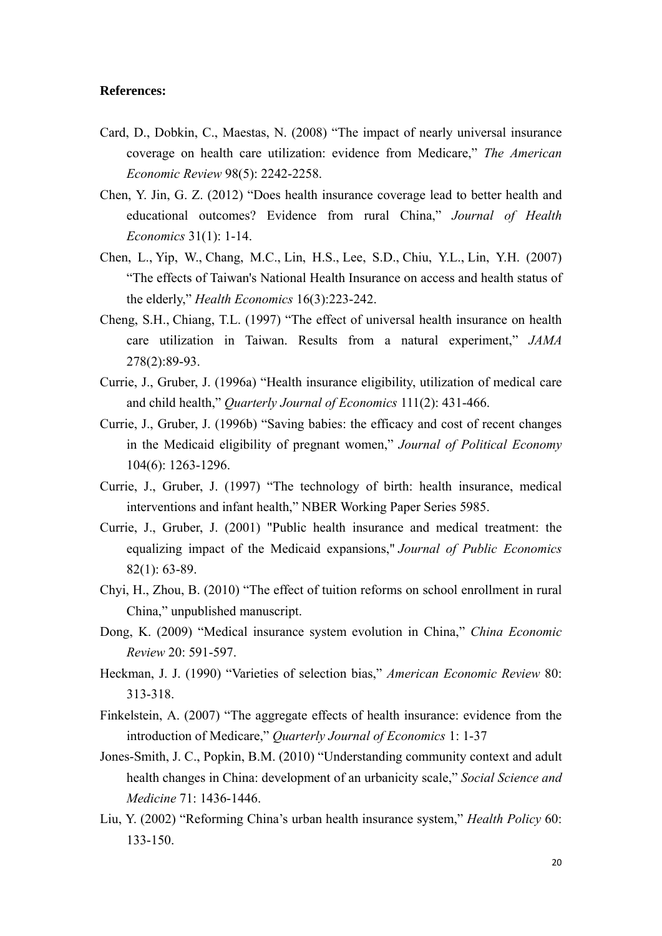## **References:**

- Card, D., Dobkin, C., Maestas, N. (2008) "The impact of nearly universal insurance coverage on health care utilization: evidence from Medicare," *The American Economic Review* 98(5): 2242-2258.
- Chen, Y. Jin, G. Z. (2012) "Does health insurance coverage lead to better health and educational outcomes? Evidence from rural China," *Journal of Health Economics* 31(1): 1-14.
- Chen, L., Yip, W., Chang, M.C., Lin, H.S., Lee, S.D., Chiu, Y.L., Lin, Y.H. (2007) "The effects of Taiwan's National Health Insurance on access and health status of the elderly," *Health Economics* 16(3):223-242.
- Cheng, S.H., Chiang, T.L. (1997) "The effect of universal health insurance on health care utilization in Taiwan. Results from a natural experiment," *JAMA*  278(2):89-93.
- Currie, J., Gruber, J. (1996a) "Health insurance eligibility, utilization of medical care and child health," *Quarterly Journal of Economics* 111(2): 431-466.
- Currie, J., Gruber, J. (1996b) "Saving babies: the efficacy and cost of recent changes in the Medicaid eligibility of pregnant women," *Journal of Political Economy* 104(6): 1263-1296.
- Currie, J., Gruber, J. (1997) "The technology of birth: health insurance, medical interventions and infant health," NBER Working Paper Series 5985.
- Currie, J., Gruber, J. (2001) "Public health insurance and medical treatment: the equalizing impact of the Medicaid expansions," *Journal of Public Economics* 82(1): 63-89.
- Chyi, H., Zhou, B. (2010) "The effect of tuition reforms on school enrollment in rural China," unpublished manuscript.
- Dong, K. (2009) "Medical insurance system evolution in China," *China Economic Review* 20: 591-597.
- Heckman, J. J. (1990) "Varieties of selection bias," *American Economic Review* 80: 313-318.
- Finkelstein, A. (2007) "The aggregate effects of health insurance: evidence from the introduction of Medicare," *Quarterly Journal of Economics* 1: 1-37
- Jones-Smith, J. C., Popkin, B.M. (2010) "Understanding community context and adult health changes in China: development of an urbanicity scale," *Social Science and Medicine* 71: 1436-1446.
- Liu, Y. (2002) "Reforming China's urban health insurance system," *Health Policy* 60: 133-150.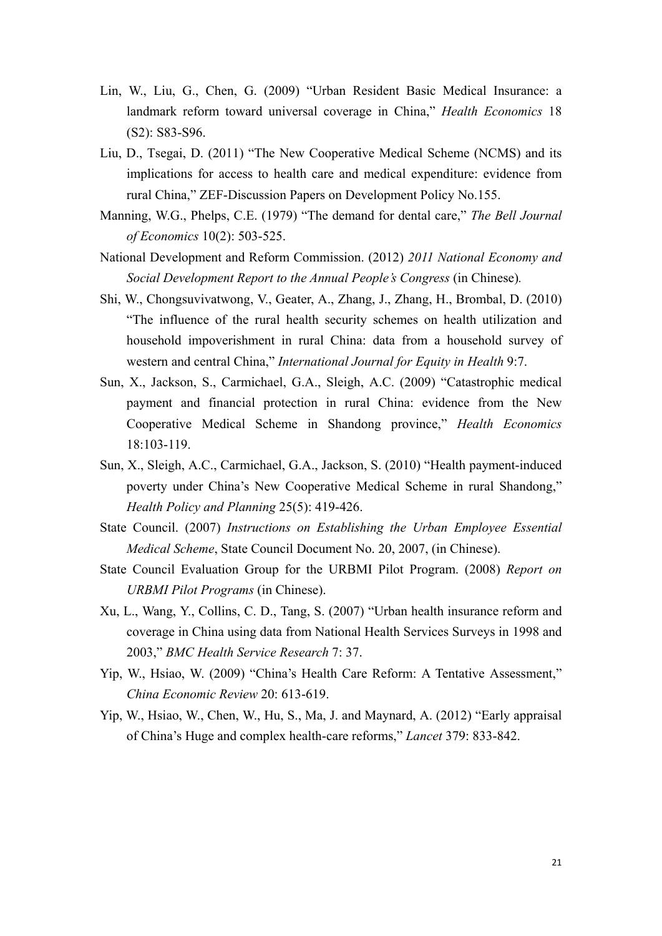- Lin, W., Liu, G., Chen, G. (2009) "Urban Resident Basic Medical Insurance: a landmark reform toward universal coverage in China," *Health Economics* 18 (S2): S83-S96.
- Liu, D., Tsegai, D. (2011) "The New Cooperative Medical Scheme (NCMS) and its implications for access to health care and medical expenditure: evidence from rural China," ZEF-Discussion Papers on Development Policy No.155.
- Manning, W.G., Phelps, C.E. (1979) "The demand for dental care," *The Bell Journal of Economics* 10(2): 503-525.
- National Development and Reform Commission. (2012) *2011 National Economy and Social Development Report to the Annual People's Congress* (in Chinese)*.*
- Shi, W., Chongsuvivatwong, V., Geater, A., Zhang, J., Zhang, H., Brombal, D. (2010) "The influence of the rural health security schemes on health utilization and household impoverishment in rural China: data from a household survey of western and central China," *International Journal for Equity in Health* 9:7.
- Sun, X., Jackson, S., Carmichael, G.A., Sleigh, A.C. (2009) "Catastrophic medical payment and financial protection in rural China: evidence from the New Cooperative Medical Scheme in Shandong province," *Health Economics* 18:103-119.
- Sun, X., Sleigh, A.C., Carmichael, G.A., Jackson, S. (2010) "Health payment-induced poverty under China's New Cooperative Medical Scheme in rural Shandong," *Health Policy and Planning* 25(5): 419-426.
- State Council. (2007) *Instructions on Establishing the Urban Employee Essential Medical Scheme*, State Council Document No. 20, 2007, (in Chinese).
- State Council Evaluation Group for the URBMI Pilot Program. (2008) *Report on URBMI Pilot Programs* (in Chinese).
- Xu, L., Wang, Y., Collins, C. D., Tang, S. (2007) "Urban health insurance reform and coverage in China using data from National Health Services Surveys in 1998 and 2003," *BMC Health Service Research* 7: 37.
- Yip, W., Hsiao, W. (2009) "China's Health Care Reform: A Tentative Assessment," *China Economic Review* 20: 613-619.
- Yip, W., Hsiao, W., Chen, W., Hu, S., Ma, J. and Maynard, A. (2012) "Early appraisal of China's Huge and complex health-care reforms," *Lancet* 379: 833-842.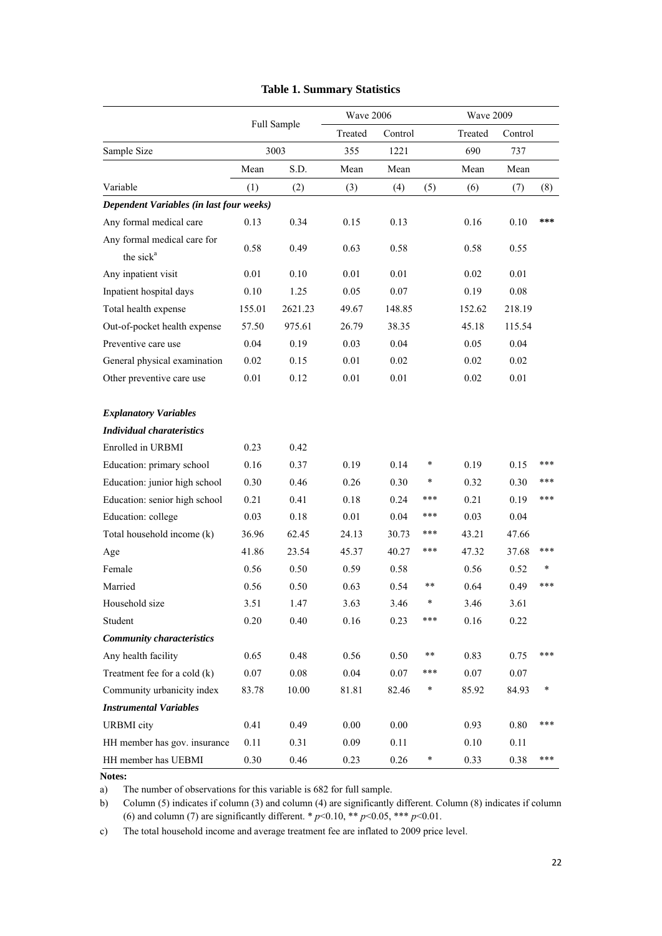|                                          |        |             | Wave 2006 |          |              | <b>Wave 2009</b> |         |        |
|------------------------------------------|--------|-------------|-----------|----------|--------------|------------------|---------|--------|
|                                          |        | Full Sample | Treated   | Control  |              | Treated          | Control |        |
| Sample Size                              |        | 3003        | 355       | 1221     |              | 690              | 737     |        |
|                                          | Mean   | S.D.        | Mean      | Mean     |              | Mean             | Mean    |        |
| Variable                                 | (1)    | (2)         | (3)       | (4)      | (5)          | (6)              | (7)     | (8)    |
| Dependent Variables (in last four weeks) |        |             |           |          |              |                  |         |        |
| Any formal medical care                  | 0.13   | 0.34        | 0.15      | 0.13     |              | 0.16             | 0.10    | ***    |
| Any formal medical care for              |        | 0.49        | 0.63      |          |              | 0.58             | 0.55    |        |
| the sick <sup>a</sup>                    | 0.58   |             |           | 0.58     |              |                  |         |        |
| Any inpatient visit                      | 0.01   | 0.10        | 0.01      | 0.01     |              | 0.02             | 0.01    |        |
| Inpatient hospital days                  | 0.10   | 1.25        | 0.05      | 0.07     |              | 0.19             | 0.08    |        |
| Total health expense                     | 155.01 | 2621.23     | 49.67     | 148.85   |              | 152.62           | 218.19  |        |
| Out-of-pocket health expense             | 57.50  | 975.61      | 26.79     | 38.35    |              | 45.18            | 115.54  |        |
| Preventive care use                      | 0.04   | 0.19        | 0.03      | 0.04     |              | 0.05             | 0.04    |        |
| General physical examination             | 0.02   | 0.15        | 0.01      | 0.02     |              | 0.02             | 0.02    |        |
| Other preventive care use                | 0.01   | 0.12        | 0.01      | 0.01     |              | 0.02             | 0.01    |        |
| <b>Explanatory Variables</b>             |        |             |           |          |              |                  |         |        |
| <b>Individual charateristics</b>         |        |             |           |          |              |                  |         |        |
| Enrolled in URBMI                        | 0.23   | 0.42        |           |          |              |                  |         |        |
| Education: primary school                | 0.16   | 0.37        | 0.19      | 0.14     | $\ast$       | 0.19             | 0.15    | ***    |
| Education: junior high school            | 0.30   | 0.46        | 0.26      | 0.30     | $\ast$       | 0.32             | 0.30    | ***    |
| Education: senior high school            | 0.21   | 0.41        | 0.18      | 0.24     | ***          | 0.21             | 0.19    | ***    |
| Education: college                       | 0.03   | 0.18        | 0.01      | 0.04     | ***          | 0.03             | 0.04    |        |
| Total household income (k)               | 36.96  | 62.45       | 24.13     | 30.73    | ***          | 43.21            | 47.66   |        |
| Age                                      | 41.86  | 23.54       | 45.37     | 40.27    | ***          | 47.32            | 37.68   | ***    |
| Female                                   | 0.56   | 0.50        | 0.59      | 0.58     |              | 0.56             | 0.52    | $\ast$ |
| Married                                  | 0.56   | 0.50        | 0.63      | 0.54     | $\ast\ast$   | 0.64             | 0.49    | ***    |
| Household size                           | 3.51   | 1.47        | 3.63      | 3.46     | $\ast$       | 3.46             | 3.61    |        |
| Student                                  | 0.20   | 0.40        | 0.16      | 0.23     | ***          | 0.16             | 0.22    |        |
| <b>Community characteristics</b>         |        |             |           |          |              |                  |         |        |
| Any health facility                      | 0.65   | 0.48        | 0.56      | 0.50     | $^{\ast\,*}$ | 0.83             | 0.75    | ***    |
| Treatment fee for a cold (k)             | 0.07   | $0.08\,$    | $0.04\,$  | $0.07\,$ | ***          | $0.07\,$         | 0.07    |        |
| Community urbanicity index               | 83.78  | 10.00       | 81.81     | 82.46    | $\ast$       | 85.92            | 84.93   | *      |
| <b>Instrumental Variables</b>            |        |             |           |          |              |                  |         |        |
| <b>URBMI</b> city                        | 0.41   | 0.49        | 0.00      | 0.00     |              | 0.93             | 0.80    | ***    |
| HH member has gov. insurance             | 0.11   | 0.31        | 0.09      | 0.11     |              | 0.10             | 0.11    |        |
| HH member has UEBMI                      | 0.30   | 0.46        | 0.23      | 0.26     | $\ast$       | 0.33             | 0.38    | ***    |

## **Table 1. Summary Statistics**

**Notes:**

a) The number of observations for this variable is 682 for full sample.

b) Column (5) indicates if column (3) and column (4) are significantly different. Column (8) indicates if column (6) and column (7) are significantly different.  $* p<0.10$ ,  $* p<0.05$ ,  $*** p<0.01$ .

c) The total household income and average treatment fee are inflated to 2009 price level.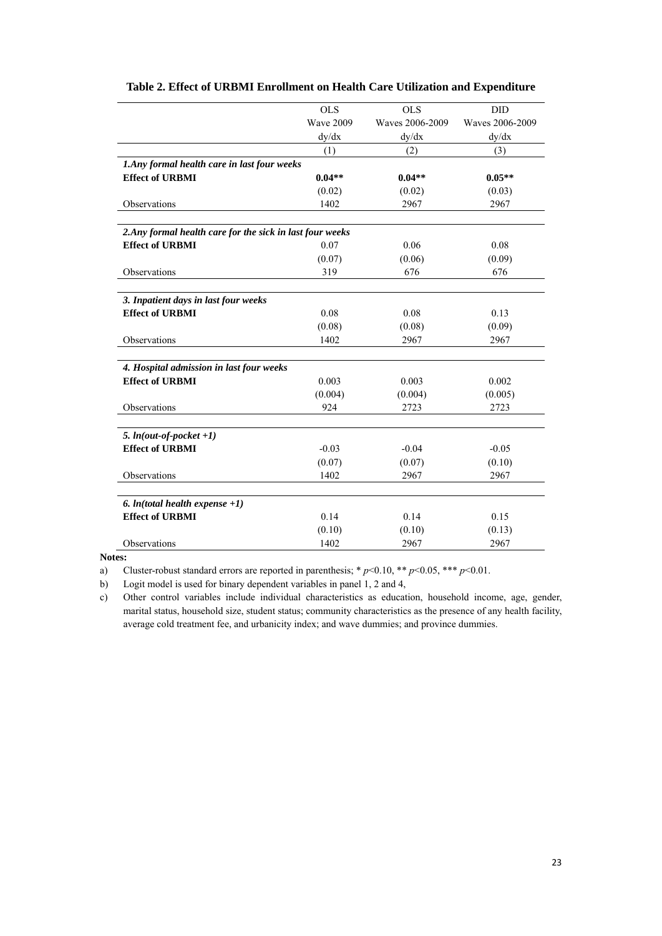|                                                           | <b>OLS</b>       | <b>OLS</b>      | <b>DID</b>      |
|-----------------------------------------------------------|------------------|-----------------|-----------------|
|                                                           | <b>Wave 2009</b> | Waves 2006-2009 | Waves 2006-2009 |
|                                                           | dy/dx            | dy/dx           | dy/dx           |
|                                                           | (1)              | (2)             | (3)             |
| 1.Any formal health care in last four weeks               |                  |                 |                 |
| <b>Effect of URBMI</b>                                    | $0.04**$         | $0.04**$        | $0.05**$        |
|                                                           | (0.02)           | (0.02)          | (0.03)          |
| Observations                                              | 1402             | 2967            | 2967            |
|                                                           |                  |                 |                 |
| 2. Any formal health care for the sick in last four weeks |                  |                 |                 |
| <b>Effect of URBMI</b>                                    | 0.07             | 0.06            | 0.08            |
|                                                           | (0.07)           | (0.06)          | (0.09)          |
| Observations                                              | 319              | 676             | 676             |
|                                                           |                  |                 |                 |
| 3. Inpatient days in last four weeks                      |                  |                 |                 |
| <b>Effect of URBMI</b>                                    | 0.08             | 0.08            | 0.13            |
|                                                           | (0.08)           | (0.08)          | (0.09)          |
| Observations                                              | 1402             | 2967            | 2967            |
|                                                           |                  |                 |                 |
| 4. Hospital admission in last four weeks                  |                  |                 |                 |
| <b>Effect of URBMI</b>                                    | 0.003            | 0.003           | 0.002           |
|                                                           | (0.004)          | (0.004)         | (0.005)         |
| Observations                                              | 924              | 2723            | 2723            |
|                                                           |                  |                 |                 |
| 5. $ln(out-of-pocket +1)$                                 |                  |                 |                 |
| <b>Effect of URBMI</b>                                    | $-0.03$          | $-0.04$         | $-0.05$         |
|                                                           | (0.07)           | (0.07)          | (0.10)          |
| Observations                                              | 1402             | 2967            | 2967            |
|                                                           |                  |                 |                 |
| 6. $ln(total \, health \, expense +1)$                    |                  |                 |                 |
| <b>Effect of URBMI</b>                                    | 0.14             | 0.14            | 0.15            |
|                                                           | (0.10)           | (0.10)          | (0.13)          |
| Observations                                              | 1402             | 2967            | 2967            |

## **Table 2. Effect of URBMI Enrollment on Health Care Utilization and Expenditure**

**Notes:** 

a) Cluster-robust standard errors are reported in parenthesis; \* *p*<0.10, \*\* *p*<0.05, \*\*\* *p*<0.01.

b) Logit model is used for binary dependent variables in panel 1, 2 and 4,

c) Other control variables include individual characteristics as education, household income, age, gender, marital status, household size, student status; community characteristics as the presence of any health facility, average cold treatment fee, and urbanicity index; and wave dummies; and province dummies.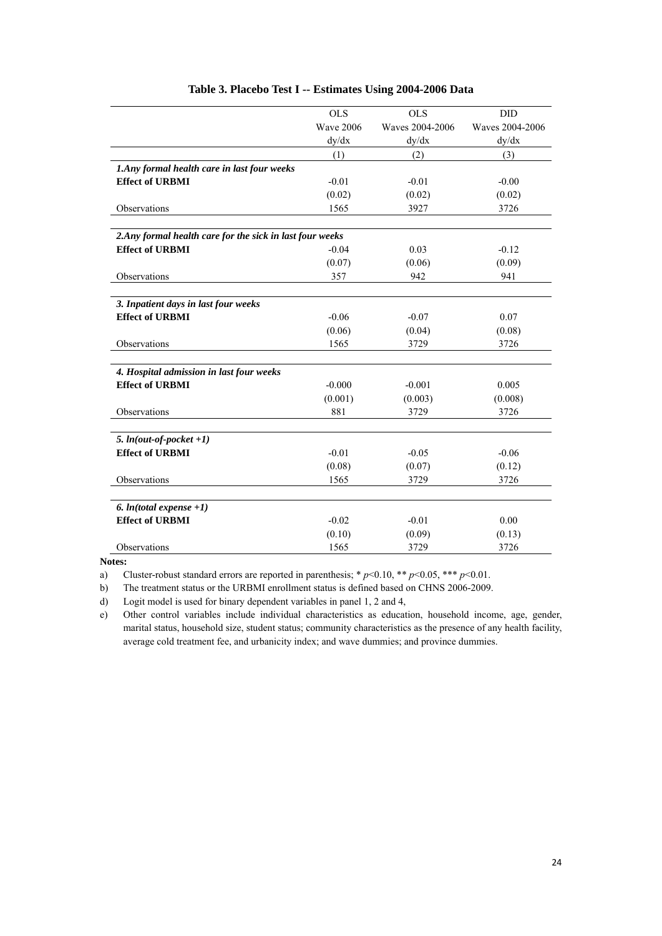|                                                           | <b>OLS</b>       | <b>OLS</b>      | DID             |
|-----------------------------------------------------------|------------------|-----------------|-----------------|
|                                                           | <b>Wave 2006</b> | Waves 2004-2006 | Waves 2004-2006 |
|                                                           | dy/dx            | dy/dx           | dy/dx           |
|                                                           | (1)              | (2)             | (3)             |
| 1. Any formal health care in last four weeks              |                  |                 |                 |
| <b>Effect of URBMI</b>                                    | $-0.01$          | $-0.01$         | $-0.00$         |
|                                                           | (0.02)           | (0.02)          | (0.02)          |
| Observations                                              | 1565             | 3927            | 3726            |
|                                                           |                  |                 |                 |
| 2. Any formal health care for the sick in last four weeks |                  |                 |                 |
| <b>Effect of URBMI</b>                                    | $-0.04$          | 0.03            | $-0.12$         |
|                                                           | (0.07)           | (0.06)          | (0.09)          |
| Observations                                              | 357              | 942             | 941             |
|                                                           |                  |                 |                 |
| 3. Inpatient days in last four weeks                      |                  |                 |                 |
| <b>Effect of URBMI</b>                                    | $-0.06$          | $-0.07$         | 0.07            |
|                                                           | (0.06)           | (0.04)          | (0.08)          |
| Observations                                              | 1565             | 3729            | 3726            |
|                                                           |                  |                 |                 |
| 4. Hospital admission in last four weeks                  |                  |                 |                 |
| <b>Effect of URBMI</b>                                    | $-0.000$         | $-0.001$        | 0.005           |
|                                                           | (0.001)          | (0.003)         | (0.008)         |
| Observations                                              | 881              | 3729            | 3726            |
|                                                           |                  |                 |                 |
| 5. $ln(out-of-pocket +1)$                                 |                  |                 |                 |
| <b>Effect of URBMI</b>                                    | $-0.01$          | $-0.05$         | $-0.06$         |
|                                                           | (0.08)           | (0.07)          | (0.12)          |
| Observations                                              | 1565             | 3729            | 3726            |
|                                                           |                  |                 |                 |
| 6. $ln(total$ expense +1)                                 |                  |                 |                 |
| <b>Effect of URBMI</b>                                    | $-0.02$          | $-0.01$         | 0.00            |
|                                                           | (0.10)           | (0.09)          | (0.13)          |
| Observations                                              | 1565             | 3729            | 3726            |

### **Table 3. Placebo Test I -- Estimates Using 2004-2006 Data**

**Notes:** 

a) Cluster-robust standard errors are reported in parenthesis; \* *p*<0.10, \*\* *p*<0.05, \*\*\* *p*<0.01.

b) The treatment status or the URBMI enrollment status is defined based on CHNS 2006-2009.

d) Logit model is used for binary dependent variables in panel 1, 2 and 4,

e) Other control variables include individual characteristics as education, household income, age, gender, marital status, household size, student status; community characteristics as the presence of any health facility, average cold treatment fee, and urbanicity index; and wave dummies; and province dummies.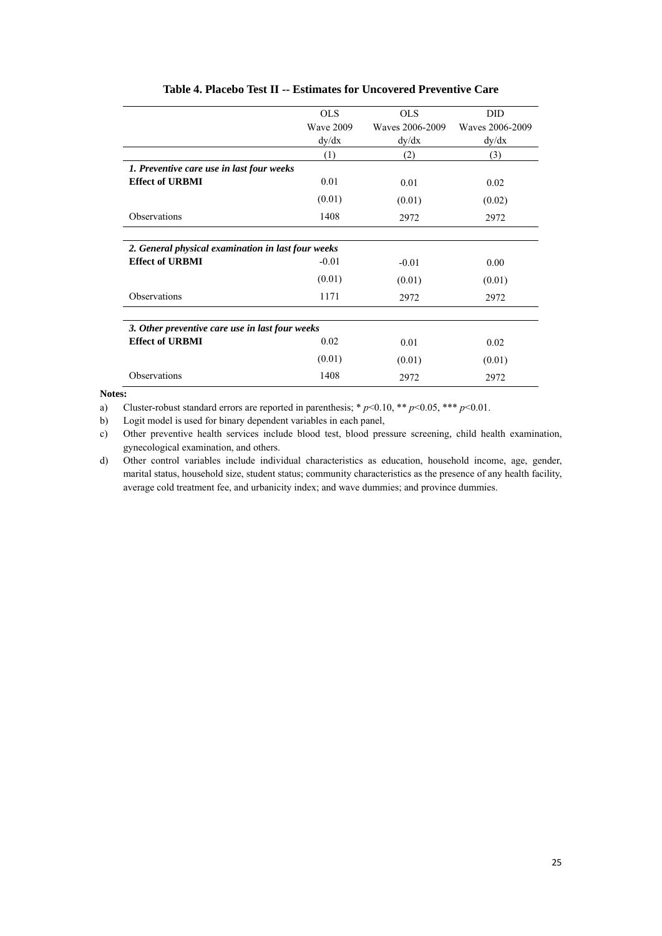|                                                    | <b>OLS</b>       | <b>OLS</b>      | DID             |
|----------------------------------------------------|------------------|-----------------|-----------------|
|                                                    | <b>Wave 2009</b> | Waves 2006-2009 | Waves 2006-2009 |
|                                                    |                  |                 |                 |
|                                                    | dy/dx            | dy/dx           | dy/dx           |
|                                                    | (1)              | (2)             | (3)             |
| 1. Preventive care use in last four weeks          |                  |                 |                 |
| <b>Effect of URBMI</b>                             | 0.01             | 0.01            | 0.02            |
|                                                    | (0.01)           | (0.01)          | (0.02)          |
| Observations                                       | 1408             | 2972            | 2972            |
|                                                    |                  |                 |                 |
| 2. General physical examination in last four weeks |                  |                 |                 |
| <b>Effect of URBMI</b>                             | $-0.01$          | $-0.01$         | 0.00            |
|                                                    | (0.01)           | (0.01)          | (0.01)          |
| Observations                                       | 1171             | 2972            | 2972            |
|                                                    |                  |                 |                 |
| 3. Other preventive care use in last four weeks    |                  |                 |                 |
| <b>Effect of URBMI</b>                             | 0.02             | 0.01            | 0.02            |
|                                                    | (0.01)           | (0.01)          | (0.01)          |
| Observations                                       | 1408             | 2972            | 2972            |

## **Table 4. Placebo Test II -- Estimates for Uncovered Preventive Care**

**Notes:**

a) Cluster-robust standard errors are reported in parenthesis; \* *p*<0.10, \*\* *p*<0.05, \*\*\* *p*<0.01.

b) Logit model is used for binary dependent variables in each panel,

c) Other preventive health services include blood test, blood pressure screening, child health examination, gynecological examination, and others.

d) Other control variables include individual characteristics as education, household income, age, gender, marital status, household size, student status; community characteristics as the presence of any health facility, average cold treatment fee, and urbanicity index; and wave dummies; and province dummies.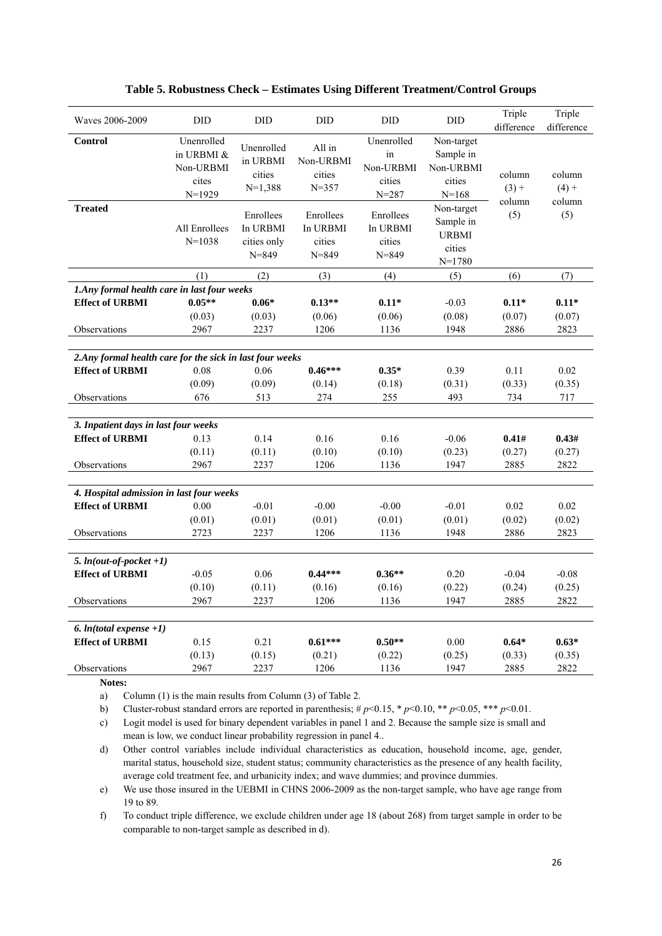| Waves 2006-2009                                           | <b>DID</b>                                                 | <b>DID</b>                                        | <b>DID</b>                                   | <b>DID</b>                                           | <b>DID</b>                                                    | Triple<br>difference        | Triple<br>difference        |
|-----------------------------------------------------------|------------------------------------------------------------|---------------------------------------------------|----------------------------------------------|------------------------------------------------------|---------------------------------------------------------------|-----------------------------|-----------------------------|
| <b>Control</b>                                            | Unenrolled<br>in URBMI &<br>Non-URBMI<br>cites<br>$N=1929$ | Unenrolled<br>in URBMI<br>cities<br>$N=1,388$     | All in<br>Non-URBMI<br>cities<br>$N = 357$   | Unenrolled<br>in<br>Non-URBMI<br>cities<br>$N = 287$ | Non-target<br>Sample in<br>Non-URBMI<br>cities<br>$N = 168$   | column<br>$(3) +$<br>column | column<br>$(4) +$<br>column |
| <b>Treated</b>                                            | All Enrollees<br>$N = 1038$                                | Enrollees<br>In URBMI<br>cities only<br>$N = 849$ | Enrollees<br>In URBMI<br>cities<br>$N = 849$ | Enrollees<br>In URBMI<br>cities<br>$N = 849$         | Non-target<br>Sample in<br><b>URBMI</b><br>cities<br>$N=1780$ | (5)                         | (5)                         |
|                                                           | (1)                                                        | (2)                                               | (3)                                          | (4)                                                  | (5)                                                           | (6)                         | (7)                         |
| 1.Any formal health care in last four weeks               |                                                            |                                                   |                                              |                                                      |                                                               |                             |                             |
| <b>Effect of URBMI</b>                                    | $0.05**$                                                   | $0.06*$                                           | $0.13**$                                     | $0.11*$                                              | $-0.03$                                                       | $0.11*$                     | $0.11*$                     |
|                                                           | (0.03)                                                     | (0.03)                                            | (0.06)                                       | (0.06)                                               | (0.08)                                                        | (0.07)                      | (0.07)                      |
| Observations                                              | 2967                                                       | 2237                                              | 1206                                         | 1136                                                 | 1948                                                          | 2886                        | 2823                        |
|                                                           |                                                            |                                                   |                                              |                                                      |                                                               |                             |                             |
| 2. Any formal health care for the sick in last four weeks |                                                            |                                                   |                                              |                                                      |                                                               |                             |                             |
| <b>Effect of URBMI</b>                                    | 0.08                                                       | 0.06                                              | $0.46***$                                    | $0.35*$                                              | 0.39                                                          | 0.11                        | 0.02                        |
|                                                           | (0.09)                                                     | (0.09)                                            | (0.14)                                       | (0.18)                                               | (0.31)                                                        | (0.33)                      | (0.35)                      |
| Observations                                              | 676                                                        | 513                                               | 274                                          | 255                                                  | 493                                                           | 734                         | 717                         |
|                                                           |                                                            |                                                   |                                              |                                                      |                                                               |                             |                             |
| 3. Inpatient days in last four weeks                      |                                                            |                                                   |                                              |                                                      |                                                               |                             |                             |
| <b>Effect of URBMI</b>                                    | 0.13                                                       | 0.14                                              | 0.16                                         | 0.16                                                 | $-0.06$                                                       | 0.41#                       | 0.43#                       |
|                                                           | (0.11)                                                     | (0.11)                                            | (0.10)                                       | (0.10)                                               | (0.23)                                                        | (0.27)                      | (0.27)                      |
| Observations                                              | 2967                                                       | 2237                                              | 1206                                         | 1136                                                 | 1947                                                          | 2885                        | 2822                        |
|                                                           |                                                            |                                                   |                                              |                                                      |                                                               |                             |                             |
| 4. Hospital admission in last four weeks                  |                                                            |                                                   |                                              |                                                      |                                                               |                             |                             |
| <b>Effect of URBMI</b>                                    | 0.00                                                       | $-0.01$                                           | $-0.00$                                      | $-0.00$                                              | $-0.01$                                                       | 0.02                        | 0.02                        |
|                                                           | (0.01)                                                     | (0.01)                                            | (0.01)                                       | (0.01)                                               | (0.01)                                                        | (0.02)                      | (0.02)                      |
| Observations                                              | 2723                                                       | 2237                                              | 1206                                         | 1136                                                 | 1948                                                          | 2886                        | 2823                        |
|                                                           |                                                            |                                                   |                                              |                                                      |                                                               |                             |                             |
| 5. $ln(out-of-pocket +1)$                                 |                                                            |                                                   |                                              |                                                      |                                                               |                             |                             |
| <b>Effect of URBMI</b>                                    | $-0.05$                                                    | 0.06                                              | $0.44***$                                    | $0.36**$                                             | 0.20                                                          | $-0.04$                     | $-0.08$                     |
|                                                           | (0.10)                                                     | (0.11)                                            | (0.16)                                       | (0.16)                                               | (0.22)                                                        | (0.24)                      | (0.25)                      |
| Observations                                              | 2967                                                       | 2237                                              | 1206                                         | 1136                                                 | 1947                                                          | 2885                        | 2822                        |
|                                                           |                                                            |                                                   |                                              |                                                      |                                                               |                             |                             |
| 6. $ln(total$ expense +1)                                 |                                                            |                                                   |                                              |                                                      |                                                               |                             |                             |
| <b>Effect of URBMI</b>                                    | 0.15                                                       | 0.21                                              | $0.61***$                                    | $0.50**$                                             | 0.00                                                          | $0.64*$                     | $0.63*$                     |
|                                                           | (0.13)                                                     | (0.15)                                            | (0.21)                                       | (0.22)                                               | (0.25)                                                        | (0.33)                      | (0.35)                      |
| Observations                                              | 2967                                                       | 2237                                              | 1206                                         | 1136                                                 | 1947                                                          | 2885                        | 2822                        |

#### **Table 5. Robustness Check – Estimates Using Different Treatment/Control Groups**

**Notes:** 

a) Column (1) is the main results from Column (3) of Table 2.

b) Cluster-robust standard errors are reported in parenthesis;  $\# p \le 0.15$ ,  $\# p \le 0.10$ ,  $\# p \le 0.05$ ,  $\# \# p \le 0.01$ .

c) Logit model is used for binary dependent variables in panel 1 and 2. Because the sample size is small and mean is low, we conduct linear probability regression in panel 4..

d) Other control variables include individual characteristics as education, household income, age, gender, marital status, household size, student status; community characteristics as the presence of any health facility, average cold treatment fee, and urbanicity index; and wave dummies; and province dummies.

e) We use those insured in the UEBMI in CHNS 2006-2009 as the non-target sample, who have age range from 19 to 89.

f) To conduct triple difference, we exclude children under age 18 (about 268) from target sample in order to be comparable to non-target sample as described in d).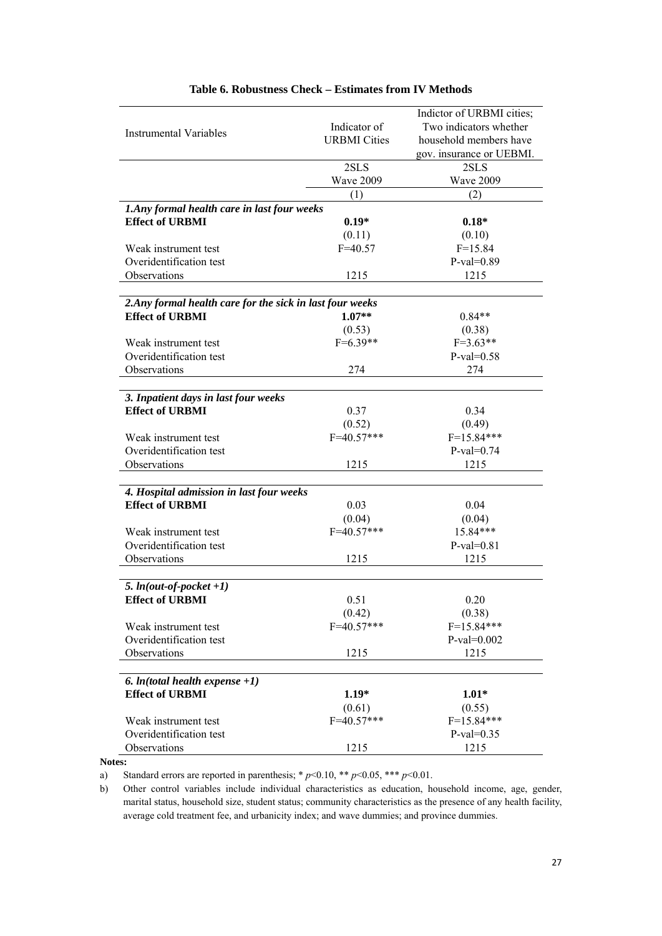|                                                           |                     | Indictor of URBMI cities; |
|-----------------------------------------------------------|---------------------|---------------------------|
|                                                           | Indicator of        | Two indicators whether    |
| Instrumental Variables                                    | <b>URBMI</b> Cities | household members have    |
|                                                           |                     | gov. insurance or UEBMI.  |
|                                                           | 2SLS                | 2SLS                      |
|                                                           | Wave 2009           | Wave 2009                 |
|                                                           | (1)                 | (2)                       |
| 1.Any formal health care in last four weeks               |                     |                           |
| <b>Effect of URBMI</b>                                    | $0.19*$             | $0.18*$                   |
|                                                           | (0.11)              | (0.10)                    |
| Weak instrument test                                      | $F = 40.57$         | $F = 15.84$               |
| Overidentification test                                   |                     | $P-value=0.89$            |
| Observations                                              | 1215                | 1215                      |
|                                                           |                     |                           |
| 2. Any formal health care for the sick in last four weeks |                     |                           |
| <b>Effect of URBMI</b>                                    | $1.07**$            | $0.84**$                  |
|                                                           | (0.53)              | (0.38)                    |
| Weak instrument test                                      | $F=6.39**$          | $F=3.63**$                |
| Overidentification test                                   |                     | $P-value=0.58$            |
| Observations                                              | 274                 | 274                       |
|                                                           |                     |                           |
| 3. Inpatient days in last four weeks                      |                     |                           |
| <b>Effect of URBMI</b>                                    | 0.37                | 0.34                      |
|                                                           | (0.52)              | (0.49)                    |
| Weak instrument test                                      | $F = 40.57***$      | $F=15.84***$              |
| Overidentification test                                   |                     | $P-value=0.74$            |
| Observations                                              | 1215                | 1215                      |
|                                                           |                     |                           |
| 4. Hospital admission in last four weeks                  |                     |                           |
| <b>Effect of URBMI</b>                                    | 0.03                | 0.04                      |
|                                                           | (0.04)              | (0.04)                    |
| Weak instrument test                                      | $F=40.57***$        | 15.84***                  |
| Overidentification test                                   |                     | $P-value=0.81$            |
| Observations                                              | 1215                | 1215                      |
|                                                           |                     |                           |
| 5. $ln(out-of-pocket +1)$                                 |                     |                           |
| <b>Effect of URBMI</b>                                    | 0.51                | 0.20                      |
|                                                           | (0.42)              | (0.38)                    |
| Weak instrument test                                      | $F = 40.57***$      | $F=15.84***$              |
| Overidentification test                                   |                     | $P-value=0.002$           |
| Observations                                              | 1215                | 1215                      |
|                                                           |                     |                           |
| 6. $ln(total$ health expense $+1)$                        |                     |                           |
| <b>Effect of URBMI</b>                                    | $1.19*$             | $1.01*$                   |
|                                                           | (0.61)              | (0.55)                    |
| Weak instrument test                                      | $F = 40.57***$      | $F=15.84***$              |
| Overidentification test                                   |                     | $P-value=0.35$            |
| Observations                                              | 1215                | 1215                      |

#### **Table 6. Robustness Check – Estimates from IV Methods**

#### **Notes:**

a) Standard errors are reported in parenthesis;  $* p<0.10$ ,  $** p<0.05$ ,  $** p<0.01$ .

b) Other control variables include individual characteristics as education, household income, age, gender, marital status, household size, student status; community characteristics as the presence of any health facility, average cold treatment fee, and urbanicity index; and wave dummies; and province dummies.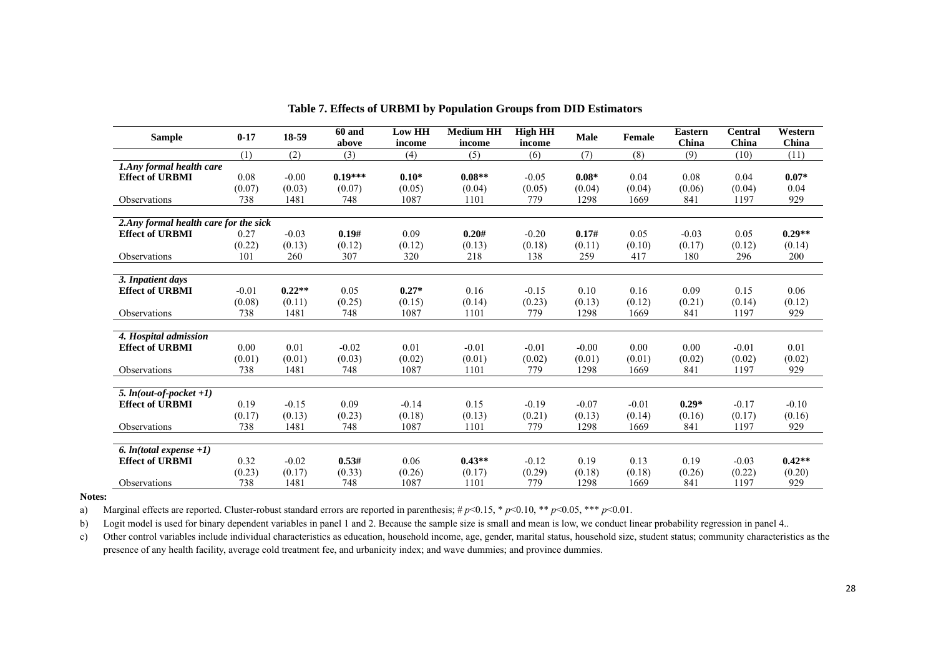| <b>Sample</b>                                   | $0 - 17$      | 18-59          | <b>60 and</b><br>above | <b>Low HH</b><br>income | <b>Medium HH</b><br>income | <b>High HH</b><br>income | <b>Male</b>    | Female         | <b>Eastern</b><br>China | <b>Central</b><br>China | Western<br>China |
|-------------------------------------------------|---------------|----------------|------------------------|-------------------------|----------------------------|--------------------------|----------------|----------------|-------------------------|-------------------------|------------------|
|                                                 | (1)           | (2)            | (3)                    | (4)                     | (5)                        | (6)                      | (7)            | (8)            | (9)                     | (10)                    | (11)             |
| 1.Any formal health care                        |               |                |                        |                         |                            |                          |                |                |                         |                         |                  |
| <b>Effect of URBMI</b>                          | 0.08          | $-0.00$        | $0.19***$              | $0.10*$                 | $0.08**$                   | $-0.05$                  | $0.08*$        | 0.04           | 0.08                    | 0.04                    | $0.07*$          |
|                                                 | (0.07)        | (0.03)         | (0.07)                 | (0.05)                  | (0.04)                     | (0.05)                   | (0.04)         | (0.04)         | (0.06)                  | (0.04)                  | 0.04             |
| Observations                                    | 738           | 1481           | 748                    | 1087                    | 1101                       | 779                      | 1298           | 1669           | 841                     | 1197                    | 929              |
|                                                 |               |                |                        |                         |                            |                          |                |                |                         |                         |                  |
| 2. Any formal health care for the sick          |               |                |                        |                         |                            |                          |                |                |                         |                         |                  |
| <b>Effect of URBMI</b>                          | 0.27          | $-0.03$        | 0.19#                  | 0.09                    | 0.20#                      | $-0.20$                  | 0.17#          | 0.05           | $-0.03$                 | 0.05                    | $0.29**$         |
|                                                 | (0.22)        | (0.13)         | (0.12)                 | (0.12)                  | (0.13)                     | (0.18)                   | (0.11)         | (0.10)         | (0.17)                  | (0.12)                  | (0.14)           |
| <b>Observations</b>                             | 101           | 260            | 307                    | 320                     | 218                        | 138                      | 259            | 417            | 180                     | 296                     | 200              |
|                                                 |               |                |                        |                         |                            |                          |                |                |                         |                         |                  |
| 3. Inpatient days                               |               |                |                        |                         |                            |                          |                |                |                         |                         |                  |
| <b>Effect of URBMI</b>                          | $-0.01$       | $0.22**$       | 0.05                   | $0.27*$                 | 0.16                       | $-0.15$                  | 0.10           | 0.16           | 0.09                    | 0.15                    | 0.06             |
|                                                 | (0.08)        | (0.11)         | (0.25)                 | (0.15)                  | (0.14)                     | (0.23)                   | (0.13)         | (0.12)         | (0.21)                  | (0.14)                  | (0.12)           |
| Observations                                    | 738           | 1481           | 748                    | 1087                    | 1101                       | 779                      | 1298           | 1669           | 841                     | 1197                    | 929              |
|                                                 |               |                |                        |                         |                            |                          |                |                |                         |                         |                  |
| 4. Hospital admission<br><b>Effect of URBMI</b> | 0.00          | 0.01           | $-0.02$                | 0.01                    | $-0.01$                    |                          | $-0.00$        | 0.00           | 0.00                    |                         | 0.01             |
|                                                 |               |                |                        |                         |                            | $-0.01$                  |                |                |                         | $-0.01$                 |                  |
| Observations                                    | (0.01)<br>738 | (0.01)<br>1481 | (0.03)<br>748          | (0.02)<br>1087          | (0.01)<br>1101             | (0.02)<br>779            | (0.01)<br>1298 | (0.01)<br>1669 | (0.02)<br>841           | (0.02)<br>1197          | (0.02)<br>929    |
|                                                 |               |                |                        |                         |                            |                          |                |                |                         |                         |                  |
| 5. $ln(out-of-pocket +1)$                       |               |                |                        |                         |                            |                          |                |                |                         |                         |                  |
| <b>Effect of URBMI</b>                          | 0.19          | $-0.15$        | 0.09                   | $-0.14$                 | 0.15                       | $-0.19$                  | $-0.07$        | $-0.01$        | $0.29*$                 | $-0.17$                 | $-0.10$          |
|                                                 | (0.17)        | (0.13)         | (0.23)                 | (0.18)                  | (0.13)                     | (0.21)                   | (0.13)         | (0.14)         | (0.16)                  | (0.17)                  | (0.16)           |
| Observations                                    | 738           | 1481           | 748                    | 1087                    | 1101                       | 779                      | 1298           | 1669           | 841                     | 1197                    | 929              |
|                                                 |               |                |                        |                         |                            |                          |                |                |                         |                         |                  |
| $\overline{6}$ . <i>In</i> (total expense +1)   |               |                |                        |                         |                            |                          |                |                |                         |                         |                  |
| <b>Effect of URBMI</b>                          | 0.32          | $-0.02$        | 0.53#                  | 0.06                    | $0.43**$                   | $-0.12$                  | 0.19           | 0.13           | 0.19                    | $-0.03$                 | $0.42**$         |
|                                                 | (0.23)        | (0.17)         | (0.33)                 | (0.26)                  | (0.17)                     | (0.29)                   | (0.18)         | (0.18)         | (0.26)                  | (0.22)                  | (0.20)           |
| <b>Observations</b>                             | 738           | 1481           | 748                    | 1087                    | 1101                       | 779                      | 1298           | 1669           | 841                     | 1197                    | 929              |

**Table 7. Effects of URBMI by Population Groups from DID Estimators**

**Notes:**

a) Marginal effects are reported. Cluster-robust standard errors are reported in parenthesis; # *p*<0.15, \* *p*<0.10, \*\* *p*<0.05, \*\*\* *p*<0.01.

b) Logit model is used for binary dependent variables in panel 1 and 2. Because the sample size is small and mean is low, we conduct linear probability regression in panel 4..

c) Other control variables include individual characteristics as education, household income, age, gender, marital status, household size, student status; community characteristics as the presence of any health facility, average cold treatment fee, and urbanicity index; and wave dummies; and province dummies.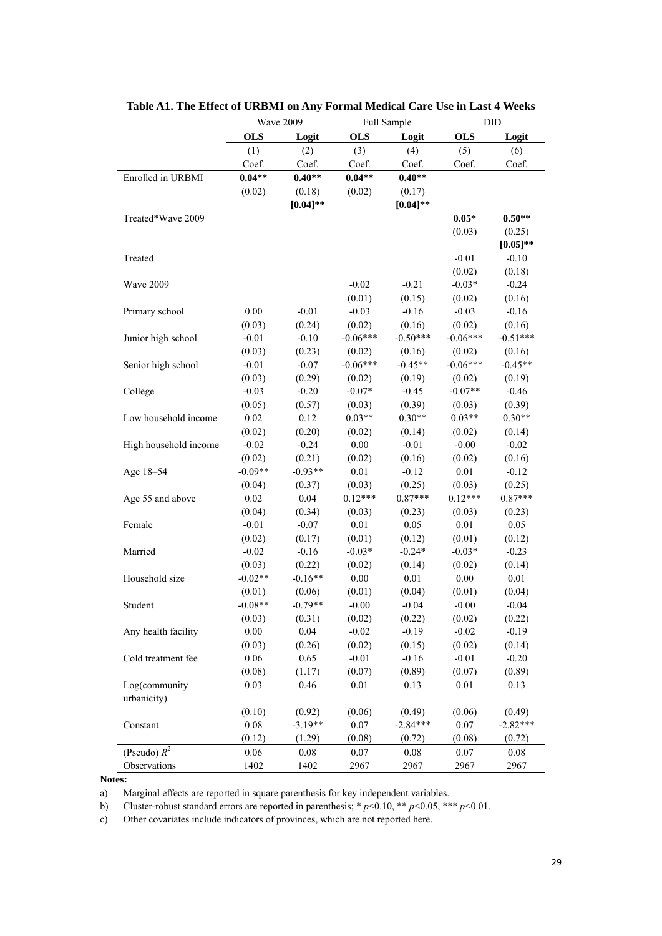|                       | Wave 2009  |             |            | Full Sample | DID        |             |  |
|-----------------------|------------|-------------|------------|-------------|------------|-------------|--|
|                       | <b>OLS</b> | Logit       | <b>OLS</b> | Logit       | <b>OLS</b> | Logit       |  |
|                       | (1)        | (2)         | (3)        | (4)         | (5)        | (6)         |  |
|                       | Coef.      | Coef.       | Coef.      | Coef.       | Coef.      | Coef.       |  |
| Enrolled in URBMI     | $0.04**$   | $0.40**$    | $0.04**$   | $0.40**$    |            |             |  |
|                       | (0.02)     | (0.18)      | (0.02)     | (0.17)      |            |             |  |
|                       |            | $[0.04]$ ** |            | $[0.04]$ ** |            |             |  |
| Treated*Wave 2009     |            |             |            |             | $0.05*$    | $0.50**$    |  |
|                       |            |             |            |             | (0.03)     | (0.25)      |  |
|                       |            |             |            |             |            | $[0.05]$ ** |  |
| Treated               |            |             |            |             | $-0.01$    | $-0.10$     |  |
|                       |            |             |            |             | (0.02)     | (0.18)      |  |
| <b>Wave 2009</b>      |            |             | $-0.02$    | $-0.21$     | $-0.03*$   | $-0.24$     |  |
|                       |            |             | (0.01)     | (0.15)      | (0.02)     | (0.16)      |  |
| Primary school        | 0.00       | $-0.01$     | $-0.03$    | $-0.16$     | $-0.03$    | $-0.16$     |  |
|                       | (0.03)     | (0.24)      | (0.02)     | (0.16)      | (0.02)     | (0.16)      |  |
| Junior high school    | $-0.01$    | $-0.10$     | $-0.06***$ | $-0.50***$  | $-0.06***$ | $-0.51***$  |  |
|                       | (0.03)     | (0.23)      | (0.02)     | (0.16)      | (0.02)     | (0.16)      |  |
| Senior high school    | $-0.01$    | $-0.07$     | $-0.06***$ | $-0.45**$   | $-0.06***$ | $-0.45**$   |  |
|                       | (0.03)     | (0.29)      | (0.02)     | (0.19)      | (0.02)     | (0.19)      |  |
| College               | $-0.03$    | $-0.20$     | $-0.07*$   | $-0.45$     | $-0.07**$  | $-0.46$     |  |
|                       | (0.05)     | (0.57)      | (0.03)     | (0.39)      | (0.03)     | (0.39)      |  |
| Low household income  | $0.02\,$   | 0.12        | $0.03**$   | $0.30**$    | $0.03**$   | $0.30**$    |  |
|                       | (0.02)     | (0.20)      | (0.02)     | (0.14)      | (0.02)     | (0.14)      |  |
| High household income | $-0.02$    | $-0.24$     | 0.00       | $-0.01$     | $-0.00$    | $-0.02$     |  |
|                       | (0.02)     | (0.21)      | (0.02)     | (0.16)      | (0.02)     | (0.16)      |  |
| Age 18-54             | $-0.09**$  | $-0.93**$   | 0.01       | $-0.12$     | 0.01       | $-0.12$     |  |
|                       | (0.04)     | (0.37)      | (0.03)     | (0.25)      | (0.03)     | (0.25)      |  |
| Age 55 and above      | 0.02       | 0.04        | $0.12***$  | $0.87***$   | $0.12***$  | $0.87***$   |  |
|                       | (0.04)     | (0.34)      | (0.03)     | (0.23)      | (0.03)     | (0.23)      |  |
| Female                | $-0.01$    | $-0.07$     | 0.01       | 0.05        | 0.01       | 0.05        |  |
|                       | (0.02)     | (0.17)      | (0.01)     | (0.12)      | (0.01)     | (0.12)      |  |
| Married               | $-0.02$    | $-0.16$     | $-0.03*$   | $-0.24*$    | $-0.03*$   | $-0.23$     |  |
|                       | (0.03)     | (0.22)      | (0.02)     | (0.14)      | (0.02)     | (0.14)      |  |
| Household size        | $-0.02**$  | $-0.16**$   | 0.00       | 0.01        | 0.00       | 0.01        |  |
|                       | (0.01)     | (0.06)      | (0.01)     | (0.04)      | (0.01)     | (0.04)      |  |
| Student               | $-0.08**$  | $-0.79**$   | $-0.00$    | $-0.04$     | $-0.00$    | $-0.04$     |  |
|                       | (0.03)     | (0.31)      | (0.02)     | (0.22)      | (0.02)     | (0.22)      |  |
| Any health facility   | 0.00       | 0.04        | $-0.02$    | $-0.19$     | $-0.02$    | $-0.19$     |  |
|                       | (0.03)     | (0.26)      | (0.02)     | (0.15)      | (0.02)     | (0.14)      |  |
| Cold treatment fee    | 0.06       | 0.65        | $-0.01$    | $-0.16$     | $-0.01$    | $-0.20$     |  |
|                       | (0.08)     | (1.17)      | (0.07)     | (0.89)      | (0.07)     | (0.89)      |  |
| Log(community         | 0.03       | 0.46        | 0.01       | 0.13        | 0.01       | 0.13        |  |
| urbanicity)           |            |             |            |             |            |             |  |
|                       | (0.10)     | (0.92)      | (0.06)     | (0.49)      | (0.06)     | (0.49)      |  |
| Constant              | 0.08       | $-3.19**$   | 0.07       | $-2.84***$  | 0.07       | $-2.82***$  |  |
|                       | (0.12)     | (1.29)      | (0.08)     | (0.72)      | (0.08)     | (0.72)      |  |
| (Pseudo) $R^2$        | 0.06       | $0.08\,$    | 0.07       | 0.08        | 0.07       | 0.08        |  |
| Observations          | 1402       | 1402        | 2967       | 2967        | 2967       | 2967        |  |

**Table A1. The Effect of URBMI on Any Formal Medical Care Use in Last 4 Weeks** 

**Notes:**

a) Marginal effects are reported in square parenthesis for key independent variables.

b) Cluster-robust standard errors are reported in parenthesis; \* *p*<0.10, \*\* *p*<0.05, \*\*\* *p*<0.01.

c) Other covariates include indicators of provinces, which are not reported here.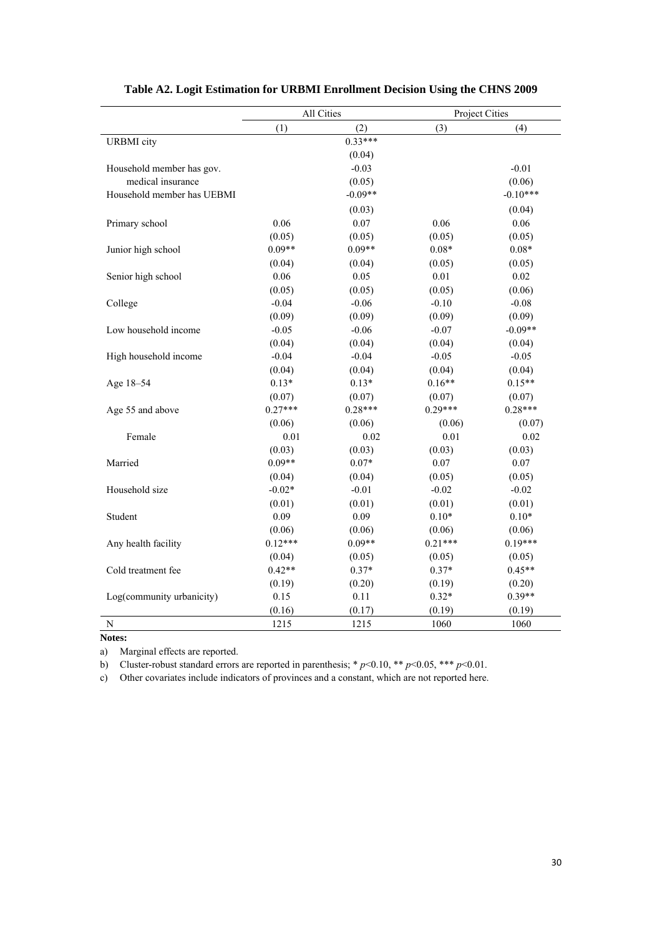|                            | All Cities |           | Project Cities |            |  |
|----------------------------|------------|-----------|----------------|------------|--|
|                            | (1)        | (2)       | (3)            | (4)        |  |
| <b>URBMI</b> city          |            | $0.33***$ |                |            |  |
|                            |            | (0.04)    |                |            |  |
| Household member has gov.  |            | $-0.03$   |                | $-0.01$    |  |
| medical insurance          |            | (0.05)    |                | (0.06)     |  |
| Household member has UEBMI |            | $-0.09**$ |                | $-0.10***$ |  |
|                            |            | (0.03)    |                | (0.04)     |  |
| Primary school             | 0.06       | 0.07      | 0.06           | 0.06       |  |
|                            | (0.05)     | (0.05)    | (0.05)         | (0.05)     |  |
| Junior high school         | $0.09**$   | $0.09**$  | $0.08*$        | $0.08*$    |  |
|                            | (0.04)     | (0.04)    | (0.05)         | (0.05)     |  |
| Senior high school         | 0.06       | 0.05      | 0.01           | 0.02       |  |
|                            | (0.05)     | (0.05)    | (0.05)         | (0.06)     |  |
| College                    | $-0.04$    | $-0.06$   | $-0.10$        | $-0.08$    |  |
|                            | (0.09)     | (0.09)    | (0.09)         | (0.09)     |  |
| Low household income       | $-0.05$    | $-0.06$   | $-0.07$        | $-0.09**$  |  |
|                            | (0.04)     | (0.04)    | (0.04)         | (0.04)     |  |
| High household income      | $-0.04$    | $-0.04$   | $-0.05$        | $-0.05$    |  |
|                            | (0.04)     | (0.04)    | (0.04)         | (0.04)     |  |
| Age 18-54                  | $0.13*$    | $0.13*$   | $0.16**$       | $0.15**$   |  |
|                            | (0.07)     | (0.07)    | (0.07)         | (0.07)     |  |
| Age 55 and above           | $0.27***$  | $0.28***$ | $0.29***$      | $0.28***$  |  |
|                            | (0.06)     | (0.06)    | (0.06)         | (0.07)     |  |
| Female                     | 0.01       | 0.02      | 0.01           | 0.02       |  |
|                            | (0.03)     | (0.03)    | (0.03)         | (0.03)     |  |
| Married                    | $0.09**$   | $0.07*$   | 0.07           | $0.07\,$   |  |
|                            | (0.04)     | (0.04)    | (0.05)         | (0.05)     |  |
| Household size             | $-0.02*$   | $-0.01$   | $-0.02$        | $-0.02$    |  |
|                            | (0.01)     | (0.01)    | (0.01)         | (0.01)     |  |
| Student                    | 0.09       | 0.09      | $0.10*$        | $0.10*$    |  |
|                            | (0.06)     | (0.06)    | (0.06)         | (0.06)     |  |
| Any health facility        | $0.12***$  | $0.09**$  | $0.21***$      | $0.19***$  |  |
|                            | (0.04)     | (0.05)    | (0.05)         | (0.05)     |  |
| Cold treatment fee         | $0.42**$   | $0.37*$   | $0.37*$        | $0.45**$   |  |
|                            | (0.19)     | (0.20)    | (0.19)         | (0.20)     |  |
| Log(community urbanicity)  | 0.15       | 0.11      | $0.32*$        | $0.39**$   |  |
|                            | (0.16)     | (0.17)    | (0.19)         | (0.19)     |  |
| N                          | 1215       | 1215      | 1060           | 1060       |  |

# **Table A2. Logit Estimation for URBMI Enrollment Decision Using the CHNS 2009**

**Notes:**

a) Marginal effects are reported.

b) Cluster-robust standard errors are reported in parenthesis; \*  $p$  < 0.10, \*\*  $p$  < 0.05, \*\*\*  $p$  < 0.01.

c) Other covariates include indicators of provinces and a constant, which are not reported here.